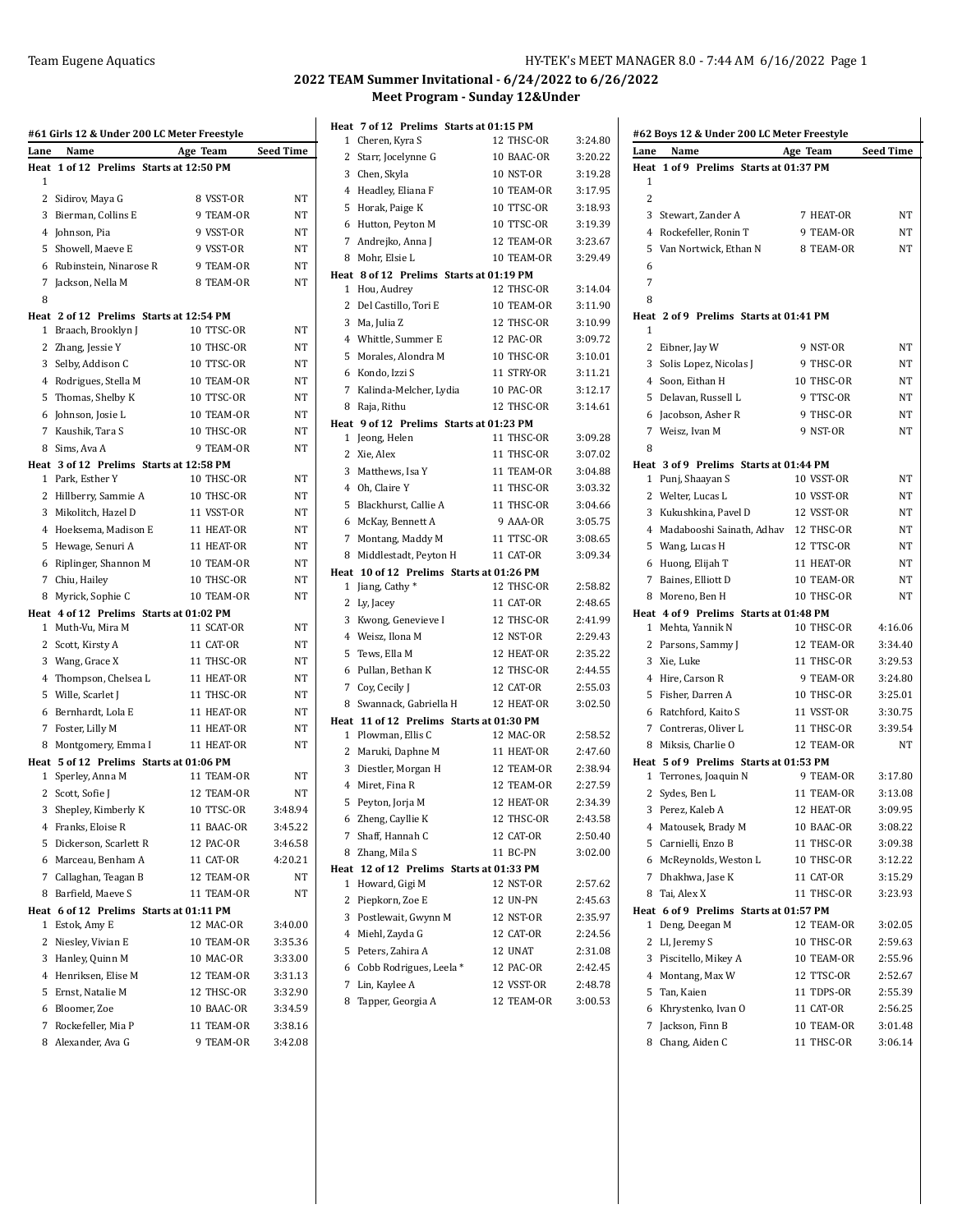| Name<br>Lane<br>Age Team<br>1 of 12 Prelims Starts at 12:50 PM<br>Heat<br>1<br>$\overline{2}$<br>Sidirov, Maya G<br>8 VSST-OR<br>3 Bierman, Collins E<br>9 TEAM-OR<br>4 Johnson, Pia<br>9 VSST-OR<br>5<br>Showell, Maeve E<br>9 VSST-OR | Seed Time<br>NT<br>NΤ<br>NT<br>NT<br>NT<br>NT |
|-----------------------------------------------------------------------------------------------------------------------------------------------------------------------------------------------------------------------------------------|-----------------------------------------------|
|                                                                                                                                                                                                                                         |                                               |
|                                                                                                                                                                                                                                         |                                               |
|                                                                                                                                                                                                                                         |                                               |
|                                                                                                                                                                                                                                         |                                               |
|                                                                                                                                                                                                                                         |                                               |
|                                                                                                                                                                                                                                         |                                               |
|                                                                                                                                                                                                                                         |                                               |
| 9 TEAM-OR<br>6 Rubinstein, Ninarose R                                                                                                                                                                                                   |                                               |
| 7<br>Jackson, Nella M<br>8 TEAM-OR                                                                                                                                                                                                      |                                               |
| 8                                                                                                                                                                                                                                       |                                               |
| Heat 2 of 12 Prelims Starts at 12:54 PM<br>Braach, Brooklyn J<br>10 TTSC-OR<br>$\mathbf{1}$                                                                                                                                             | NT                                            |
| 2 Zhang, Jessie Y<br>10 THSC-OR                                                                                                                                                                                                         | ΝT                                            |
| 10 TTSC-OR<br>3<br>Selby, Addison C                                                                                                                                                                                                     | NT                                            |
| 4 Rodrigues, Stella M<br>10 TEAM-OR                                                                                                                                                                                                     | NT                                            |
| 5<br>Thomas, Shelby K<br>10 TTSC-OR                                                                                                                                                                                                     | NT                                            |
| 6 Johnson, Josie L<br>10 TEAM-OR                                                                                                                                                                                                        | NT                                            |
| Kaushik, Tara S<br>10 THSC-OR<br>7                                                                                                                                                                                                      | <b>NT</b>                                     |
| 8 Sims, Ava A<br>9 TEAM-OR                                                                                                                                                                                                              | NT                                            |
| Heat 3 of 12 Prelims Starts at 12:58 PM                                                                                                                                                                                                 |                                               |
| 1 Park, Esther Y<br>10 THSC-OR                                                                                                                                                                                                          | NT                                            |
| 2<br>Hillberry, Sammie A<br>10 THSC-OR                                                                                                                                                                                                  | NT                                            |
| 3 Mikolitch, Hazel D<br>11 VSST-OR                                                                                                                                                                                                      | NT                                            |
| Hoeksema, Madison E<br>11 HEAT-OR<br>4                                                                                                                                                                                                  | NT                                            |
| 5<br>Hewage, Senuri A<br>11 HEAT-OR                                                                                                                                                                                                     | NT                                            |
| Riplinger, Shannon M<br>10 TEAM-OR<br>6                                                                                                                                                                                                 | NT                                            |
| 10 THSC-OR<br>7<br>Chiu, Hailey                                                                                                                                                                                                         | NT                                            |
| 8 Myrick, Sophie C<br>10 TEAM-OR                                                                                                                                                                                                        | NT                                            |
| Heat 4 of 12 Prelims Starts at 01:02 PM                                                                                                                                                                                                 |                                               |
| 11 SCAT-OR<br>Muth-Vu, Mira M<br>1                                                                                                                                                                                                      | NT                                            |
| 11 CAT-OR<br>$\mathbf{2}$<br>Scott, Kirsty A                                                                                                                                                                                            | NT                                            |
| 3<br>Wang, Grace X<br>11 THSC-OR                                                                                                                                                                                                        | NT                                            |
| $\overline{4}$<br>Thompson, Chelsea L<br>11 HEAT-OR                                                                                                                                                                                     | NΤ                                            |
| 5<br>Wille, Scarlet J<br>11 THSC-OR                                                                                                                                                                                                     | NT                                            |
| Bernhardt, Lola E<br>11 HEAT-OR<br>6                                                                                                                                                                                                    | NT                                            |
| 11 HEAT-OR<br>7<br>Foster, Lilly M                                                                                                                                                                                                      | NT                                            |
| 8 Montgomery, Emma I<br>11 HEAT-OR                                                                                                                                                                                                      | NT                                            |
| Heat 5 of 12 Prelims Starts at 01:06 PM                                                                                                                                                                                                 |                                               |
| Sperley, Anna M<br>11 TEAM-OR<br>1                                                                                                                                                                                                      | NT                                            |
| 12 TEAM-OR<br>2<br>Scott, Sofie J                                                                                                                                                                                                       | NT                                            |
| <b>10 TTSC-OR</b><br>3<br>Shepley, Kimberly K                                                                                                                                                                                           | 3:48.94                                       |
| Franks, Eloise R<br>11 BAAC-OR<br>4                                                                                                                                                                                                     | 3:45.22                                       |
| 5<br>Dickerson, Scarlett R<br>12 PAC-OR                                                                                                                                                                                                 | 3:46.58                                       |
| 6 Marceau, Benham A<br>11 CAT-OR                                                                                                                                                                                                        | 4:20.21                                       |
| 7 Callaghan, Teagan B<br>12 TEAM-OR                                                                                                                                                                                                     | NT                                            |
| 8 Barfield, Maeve S<br>11 TEAM-OR                                                                                                                                                                                                       | NT                                            |
| Heat 6 of 12 Prelims Starts at 01:11 PM<br>12 MAC-OR<br>1<br>Estok, Amy E                                                                                                                                                               |                                               |
|                                                                                                                                                                                                                                         | 3:40.00                                       |
| 2<br>Niesley, Vivian E<br>10 TEAM-OR                                                                                                                                                                                                    | 3:35.36<br>3:33.00                            |
| Hanley, Quinn M<br>10 MAC-OR<br>3<br>4 Henriksen, Elise M<br>12 TEAM-OR                                                                                                                                                                 | 3:31.13                                       |
| 12 THSC-OR                                                                                                                                                                                                                              | 3:32.90                                       |
| 5 Ernst, Natalie M<br>6 Bloomer, Zoe<br>10 BAAC-OR                                                                                                                                                                                      | 3:34.59                                       |
| 7<br>Rockefeller, Mia P<br>11 TEAM-OR                                                                                                                                                                                                   | 3:38.16                                       |
| 8 Alexander, Ava G<br>9 TEAM-OR                                                                                                                                                                                                         | 3:42.08                                       |

| Heat         | 7 of 12 Prelims Starts at 01:15 PM       |                  |         |
|--------------|------------------------------------------|------------------|---------|
| 1            | Cheren, Kyra S                           | 12 THSC-OR       | 3:24.80 |
| 2            | Starr, Jocelynne G                       | 10 BAAC-OR       | 3:20.22 |
| 3            | Chen, Skyla                              | <b>10 NST-OR</b> | 3:19.28 |
|              | 4 Headley, Eliana F                      | 10 TEAM-OR       | 3:17.95 |
| 5            | Horak, Paige K                           | 10 TTSC-OR       | 3:18.93 |
| 6            | Hutton, Peyton M                         | 10 TTSC-OR       | 3:19.39 |
| 7            | Andrejko, Anna J                         | 12 TEAM-OR       | 3:23.67 |
| 8            | Mohr, Elsie L                            | 10 TEAM-OR       | 3:29.49 |
|              | Heat 8 of 12 Prelims Starts at 01:19 PM  |                  |         |
| 1            | Hou, Audrey                              | 12 THSC-OR       | 3:14.04 |
| 2            | Del Castillo, Tori E                     | 10 TEAM-OR       | 3:11.90 |
| 3            | Ma, Julia Z                              | 12 THSC-OR       | 3:10.99 |
|              | 4 Whittle, Summer E                      | 12 PAC-OR        | 3:09.72 |
| 5            | Morales, Alondra M                       | 10 THSC-OR       | 3:10.01 |
| 6            | Kondo, Izzi S                            | 11 STRY-OR       | 3:11.21 |
| 7            | Kalinda-Melcher, Lydia                   | 10 PAC-OR        | 3:12.17 |
| 8            | Raja, Rithu                              | 12 THSC-OR       | 3:14.61 |
|              | Heat 9 of 12 Prelims Starts at 01:23 PM  |                  |         |
| 1            | Jeong, Helen                             | 11 THSC-OR       | 3:09.28 |
| 2            | Xie, Alex                                | 11 THSC-OR       | 3:07.02 |
| 3            | Matthews, Isa Y                          | 11 TEAM-OR       | 3:04.88 |
|              | 4 Oh, Claire Y                           | 11 THSC-OR       | 3:03.32 |
| 5            | Blackhurst, Callie A                     | 11 THSC-OR       | 3:04.66 |
| 6            | McKay, Bennett A                         | 9 AAA-OR         | 3:05.75 |
| 7            | Montang, Maddy M                         | 11 TTSC-OR       | 3:08.65 |
| 8            | Middlestadt, Peyton H                    | 11 CAT-OR        | 3:09.34 |
|              | Heat 10 of 12 Prelims Starts at 01:26 PM | 12 THSC-OR       | 2:58.82 |
| 2            | 1 Jiang, Cathy *                         | 11 CAT-OR        | 2:48.65 |
| 3            | Ly, Jacey<br>Kwong, Genevieve I          | 12 THSC-OR       | 2:41.99 |
|              | 4 Weisz, Ilona M                         | 12 NST-OR        | 2:29.43 |
| 5            | Tews, Ella M                             | 12 HEAT-OR       | 2:35.22 |
| 6            | Pullan, Bethan K                         | 12 THSC-OR       | 2:44.55 |
| 7            | Coy, Cecily J                            | 12 CAT-OR        | 2:55.03 |
| 8            | Swannack, Gabriella H                    | 12 HEAT-OR       | 3:02.50 |
|              | Heat 11 of 12 Prelims Starts at 01:30 PM |                  |         |
| $\mathbf{1}$ | Plowman, Ellis C                         | 12 MAC-OR        | 2:58.52 |
| 2            | Maruki, Daphne M                         | 11 HEAT-OR       | 2:47.60 |
| 3            | Diestler, Morgan H                       | 12 TEAM-OR       | 2:38.94 |
| 4            | Miret, Fina R                            | 12 TEAM-OR       | 2:27.59 |
| 5            | Peyton, Jorja M                          | 12 HEAT-OR       | 2:34.39 |
| 6            | Zheng, Cayllie K                         | 12 THSC-OR       | 2:43.58 |
| 7            | Shaff, Hannah C                          | 12 CAT-OR        | 2:50.40 |
| 8            | Zhang, Mila S                            | 11 BC-PN         | 3:02.00 |
|              | Heat 12 of 12 Prelims Starts at 01:33 PM |                  |         |
| 1            | Howard, Gigi M                           | 12 NST-OR        | 2:57.62 |
| 2            | Piepkorn, Zoe E                          | 12 UN-PN         | 2.45.63 |
|              | 3 Postlewait, Gwynn M                    | 12 NST-OR        | 2:35.97 |
|              | 4 Miehl, Zayda G                         | 12 CAT-OR        | 2:24.56 |
| 5            | Peters, Zahira A                         | 12 UNAT          | 2 31 08 |
| 6            | Cobb Rodrigues, Leela*                   | 12 PAC-OR        | 2:42.45 |
| 7            | Lin, Kaylee A                            | 12 VSST-OR       | 2:48.78 |
| 8            | Tapper, Georgia A                        | 12 TEAM-OR       | 3:00.53 |

|              | #62 Boys 12 & Under 200 LC Meter Freestyle |            |           |
|--------------|--------------------------------------------|------------|-----------|
| Lane         | Name                                       | Age Team   | Seed Time |
| Heat         | 1 of 9 Prelims Starts at 01:37 PM          |            |           |
| 1            |                                            |            |           |
| 2            |                                            |            |           |
| 3            | Stewart, Zander A                          | 7 HEAT-OR  | NΤ        |
| 4            | Rockefeller, Ronin T                       | 9 TEAM-OR  | NΤ        |
| 5            | Van Nortwick, Ethan N                      | 8 TEAM-OR  | NΤ        |
| 6            |                                            |            |           |
| 7            |                                            |            |           |
| 8            |                                            |            |           |
|              | Heat 2 of 9 Prelims Starts at 01:41 PM     |            |           |
| 1            |                                            |            |           |
| $\mathbf{2}$ | Eibner, Jay W                              | 9 NST-OR   | NΤ        |
| 3            | Solis Lopez, Nicolas J                     | 9 THSC-OR  | NΤ        |
|              | 4 Soon, Eithan H                           | 10 THSC-OR | NΤ        |
|              | 5 Delavan, Russell L                       | 9 TTSC-OR  | NΤ        |
|              | 6 Jacobson, Asher R                        | 9 THSC-OR  | NΤ        |
|              | 7 Weisz, Ivan M                            | 9 NST-OR   | NΤ        |
| 8            |                                            |            |           |
|              | Heat 3 of 9 Prelims Starts at 01:44 PM     |            |           |
|              | 1 Punj, Shaayan S                          | 10 VSST-OR | NΤ        |
|              | 2 Welter, Lucas L                          | 10 VSST-OR | NΤ        |
|              | 3 Kukushkina, Pavel D                      | 12 VSST-OR | NΤ        |
|              | 4 Madabooshi Sainath, Adhav                | 12 THSC-OR | NΤ        |
|              | 5 Wang, Lucas H                            | 12 TTSC-OR | NT        |
|              | 6 Huong, Elijah T                          | 11 HEAT-OR | NΤ        |
|              | 7 Baines, Elliott D                        | 10 TEAM-OR | NΤ        |
|              | 8 Moreno, Ben H                            | 10 THSC-OR | NT        |
|              | Heat 4 of 9 Prelims Starts at 01:48 PM     |            |           |
| $\mathbf{1}$ | Mehta, Yannik N                            | 10 THSC-OR | 4:16.06   |
|              | 2 Parsons, Sammy J                         | 12 TEAM-OR | 3:34.40   |
|              | 3 Xie, Luke                                | 11 THSC-OR | 3:29.53   |
|              | 4 Hire, Carson R                           | 9 TEAM-OR  | 3:24.80   |
|              | 5 Fisher, Darren A                         | 10 THSC-OR | 3:25.01   |
|              | 6 Ratchford, Kaito S                       | 11 VSST-OR | 3:30.75   |
| 7            | Contreras, Oliver L                        | 11 THSC-OR | 3:39.54   |
|              | 8 Miksis, Charlie O                        | 12 TEAM-OR | NT        |
|              | Heat 5 of 9 Prelims Starts at 01:53 PM     |            |           |
| $\mathbf{1}$ | Terrones, Joaquin N                        | 9 TEAM-OR  | 3:17.80   |
| 2            | Sydes, Ben L                               | 11 TEAM-OR | 3:13.08   |
|              | 3 Perez, Kaleb A                           | 12 HEAT-OR | 3:09.95   |
|              | 4 Matousek, Brady M                        | 10 BAAC-OR | 3:08.22   |
|              | 5 Carnielli, Enzo B                        | 11 THSC-OR | 3:09.38   |
|              | 6 McReynolds, Weston L                     | 10 THSC-OR | 3:12.22   |
| 7            | Dhakhwa, Jase K                            | 11 CAT-OR  | 3:15.29   |
| 8            | Tai, Alex X                                | 11 THSC-OR | 3:23.93   |
|              | Heat 6 of 9 Prelims Starts at 01:57 PM     |            |           |
| $\mathbf{1}$ | Deng, Deegan M                             | 12 TEAM-OR | 3:02.05   |
| 2            | LI, Jeremy S                               | 10 THSC-OR | 2:59.63   |
|              | 3 Piscitello, Mikey A                      | 10 TEAM-OR | 2:55.96   |
|              | 4 Montang, Max W                           | 12 TTSC-OR | 2:52.67   |
| 5            | Tan, Kaien                                 | 11 TDPS-OR | 2:55.39   |
| 6            | Khrystenko, Ivan O                         | 11 CAT-OR  | 2:56.25   |
| 7            | Jackson, Finn B                            | 10 TEAM-OR | 3:01.48   |
| 8            | Chang, Aiden C                             | 11 THSC-OR | 3:06.14   |
|              |                                            |            |           |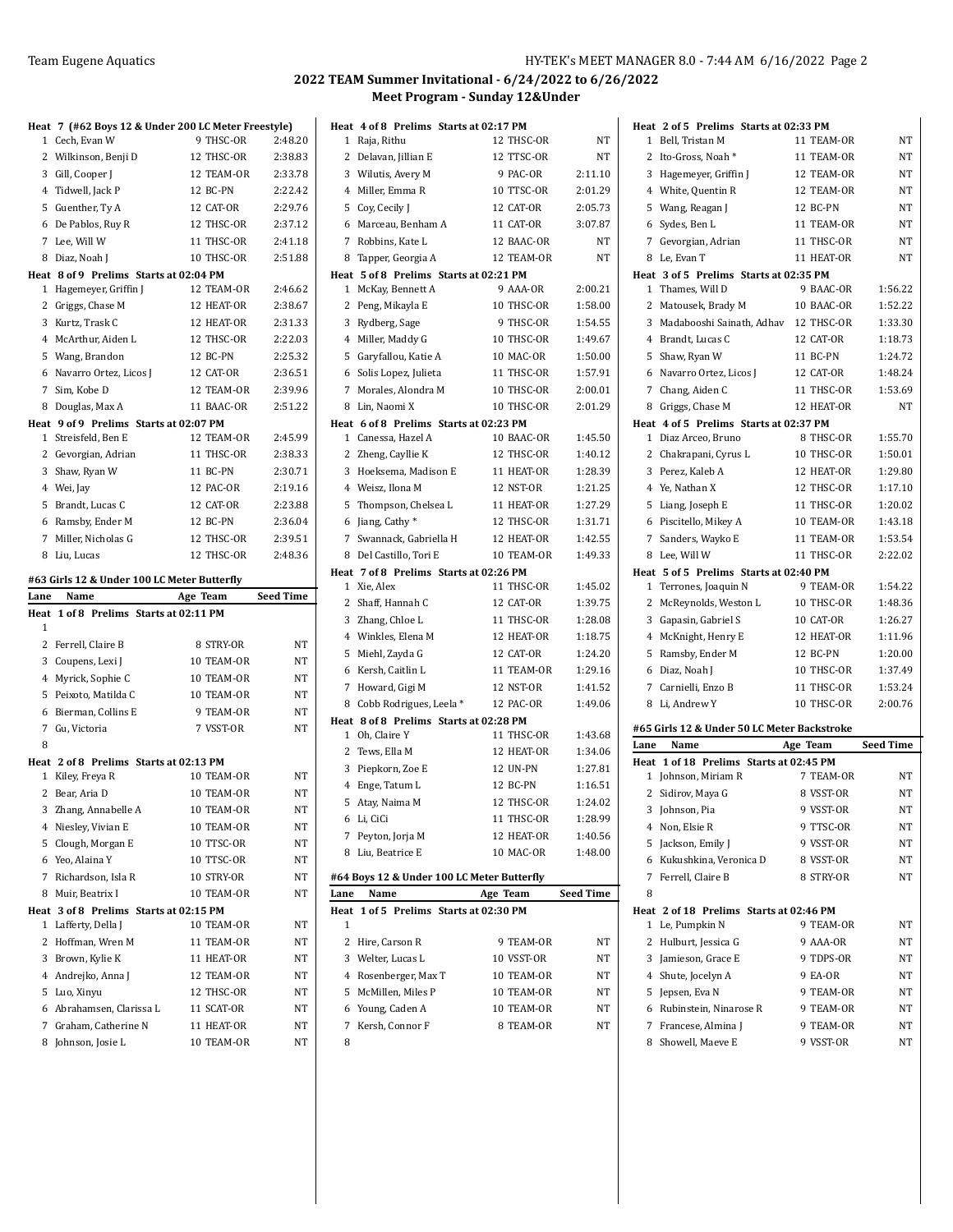|           | Heat 7 (#62 Boys 12 & Under 200 LC Meter Freestyle)<br>1 Cech, Evan W | 9 THSC-OR                | 2:48.20            |
|-----------|-----------------------------------------------------------------------|--------------------------|--------------------|
|           |                                                                       |                          |                    |
|           | 2 Wilkinson, Benji D                                                  | 12 THSC-OR               | 2:38.83            |
|           | 3 Gill, Cooper J                                                      | 12 TEAM-OR               | 2:33.78            |
|           | 4 Tidwell, Jack P                                                     | 12 BC-PN                 | 2:22.42<br>2:29.76 |
|           | 5 Guenther, Ty A                                                      | 12 CAT-OR                | 2:37.12            |
|           | 6 De Pablos, Ruy R                                                    | 12 THSC-OR               | 2:41.18            |
|           | 7 Lee, Will W                                                         | 11 THSC-OR               |                    |
|           | 8 Diaz, Noah J<br>Heat 8 of 9 Prelims Starts at 02:04 PM              | 10 THSC-OR               | 2:51.88            |
|           | 1 Hagemeyer, Griffin J                                                | 12 TEAM-OR               | 2:46.62            |
|           | 2 Griggs, Chase M                                                     | 12 HEAT-OR               | 2:38.67            |
|           | 3 Kurtz, Trask C                                                      | 12 HEAT-OR               | 2:31.33            |
|           | 4 McArthur, Aiden L                                                   | 12 THSC-OR               | 2:22.03            |
|           | 5 Wang, Brandon                                                       | 12 BC-PN                 | 2:25.32            |
|           | 6 Navarro Ortez, Licos J                                              | 12 CAT-OR                | 2:36.51            |
|           | 7 Sim, Kobe D                                                         | 12 TEAM-OR               | 2:39.96            |
|           | 8 Douglas, Max A                                                      | 11 BAAC-OR               | 2:51.22            |
|           | Heat 9 of 9 Prelims Starts at 02:07 PM                                |                          |                    |
|           | 1 Streisfeld, Ben E                                                   | 12 TEAM-OR               | 2:45.99            |
|           | 2 Gevorgian, Adrian                                                   | 11 THSC-OR               | 2:38.33            |
|           | 3 Shaw, Ryan W                                                        | 11 BC-PN                 | 2:30.71            |
|           | 4 Wei, Jay                                                            | 12 PAC-OR                | 2:19.16            |
|           | 5 Brandt, Lucas C                                                     | 12 CAT-OR                | 2:23.88            |
|           | 6 Ramsby, Ender M                                                     | 12 BC-PN                 | 2:36.04            |
|           | 7 Miller, Nicholas G                                                  | 12 THSC-OR               | 2:39.51            |
|           | 8 Liu, Lucas                                                          | 12 THSC-OR               | 2:48.36            |
|           | #63 Girls 12 & Under 100 LC Meter Butterfly                           |                          |                    |
|           |                                                                       |                          |                    |
|           |                                                                       |                          |                    |
|           | Name                                                                  | Age Team                 | Seed Time          |
| 1         | Heat 1 of 8 Prelims Starts at 02:11 PM                                |                          |                    |
|           | 2 Ferrell, Claire B                                                   | 8 STRY-OR                | NT                 |
|           | 3 Coupens, Lexi J                                                     | 10 TEAM-OR               | NT                 |
|           | 4 Myrick, Sophie C                                                    | 10 TEAM-OR               | NT                 |
|           | 5 Peixoto, Matilda C                                                  | 10 TEAM-OR               | NT                 |
|           | 6 Bierman, Collins E                                                  | 9 TEAM-OR                | NT                 |
|           | 7 Gu, Victoria                                                        | 7 VSST-OR                | <b>NT</b>          |
| 8         |                                                                       |                          |                    |
|           | Heat 2 of 8 Prelims Starts at 02:13 PM                                |                          |                    |
|           | 1 Kiley, Freya R                                                      | 10 TEAM-OR               | NT                 |
|           | 2 Bear, Aria D                                                        | 10 TEAM-OR               | NT                 |
|           | 3 Zhang, Annabelle A                                                  | 10 TEAM-OR               | NT                 |
|           | 4 Niesley, Vivian E                                                   | 10 TEAM-OR               | NT                 |
|           | 5 Clough, Morgan E                                                    | 10 TTSC-OR               | NT                 |
| 6         | Yeo, Alaina Y                                                         | 10 TTSC-OR               | NT                 |
| 7         | Richardson, Isla R                                                    | 10 STRY-OR               | NΤ                 |
| Lane<br>8 | Muir, Beatrix I                                                       | 10 TEAM-OR               | NT                 |
|           | Heat 3 of 8 Prelims Starts at 02:15 PM                                |                          |                    |
| 1         | Lafferty, Della J                                                     | 10 TEAM-OR               | NT                 |
| 2         | Hoffman, Wren M                                                       | 11 TEAM-OR               | ΝT                 |
|           | 3 Brown, Kylie K                                                      | 11 HEAT-OR               | NT                 |
|           | 4 Andrejko, Anna J                                                    | 12 TEAM-OR               | NT                 |
| 5         | Luo, Xinyu                                                            | 12 THSC-OR               | NT                 |
| 6         | Abrahamsen, Clarissa L                                                | 11 SCAT-OR               | NT                 |
| 7<br>8    | Graham, Catherine N<br>Johnson, Josie L                               | 11 HEAT-OR<br>10 TEAM-OR | NT<br>NT           |

|              | Heat 4 of 8 Prelims Starts at 02:17 PM     |            |                  |
|--------------|--------------------------------------------|------------|------------------|
| 1            | Raja, Rithu                                | 12 THSC-OR | NΤ               |
| 2            | Delavan, Jillian E                         | 12 TTSC-OR | NT               |
|              | 3 Wilutis, Avery M                         | 9 PAC-OR   | 2:11.10          |
|              | 4 Miller, Emma R                           | 10 TTSC-OR | 2:01.29          |
| 5            | Coy, Cecily J                              | 12 CAT-OR  | 2:05.73          |
|              | 6 Marceau, Benham A                        | 11 CAT-OR  | 3:07.87          |
| 7            | Robbins, Kate L                            | 12 BAAC-OR | NT               |
| 8            | Tapper, Georgia A                          | 12 TEAM-OR | NΤ               |
|              | Heat 5 of 8 Prelims Starts at 02:21 PM     |            |                  |
| 1            | McKay, Bennett A                           | 9 AAA-OR   | 2:00.21          |
| 2            | Peng, Mikayla E                            | 10 THSC-OR | 1:58.00          |
| 3            | Rydberg, Sage                              | 9 THSC-OR  | 1:54.55          |
|              | 4 Miller, Maddy G                          | 10 THSC-OR | 1:49.67          |
| 5            | Garyfallou, Katie A                        | 10 MAC-OR  | 1:50.00          |
| 6            | Solis Lopez, Julieta                       | 11 THSC-OR | 1:57.91          |
| 7            | Morales, Alondra M                         | 10 THSC-OR | 2:00.01          |
|              | 8 Lin, Naomi X                             | 10 THSC-OR | 2:01.29          |
|              | Heat 6 of 8 Prelims Starts at 02:23 PM     |            |                  |
| $\mathbf{1}$ | Canessa, Hazel A                           | 10 BAAC-OR | 1:45.50          |
| 2            | Zheng, Cayllie K                           | 12 THSC-OR | 1:40.12          |
|              | 3 Hoeksema, Madison E                      | 11 HEAT-OR | 1:28.39          |
|              | 4 Weisz, Ilona M                           | 12 NST-OR  | 1:21.25          |
| 5            | Thompson, Chelsea L                        | 11 HEAT-OR | 1:27.29          |
| 6            | Jiang, Cathy*                              | 12 THSC-OR | 1:31.71          |
| 7            | Swannack, Gabriella H                      | 12 HEAT-OR | 1:42.55          |
|              | 8 Del Castillo, Tori E                     | 10 TEAM-OR | 1:49.33          |
|              | Heat 7 of 8 Prelims Starts at 02:26 PM     |            |                  |
| $\mathbf{1}$ | Xie, Alex                                  | 11 THSC-OR | 1:45.02          |
| 2            | Shaff, Hannah C                            | 12 CAT-OR  | 1:39.75          |
|              | 3 Zhang, Chloe L                           | 11 THSC-OR | 1:28.08          |
|              | 4 Winkles, Elena M                         | 12 HEAT-OR | 1:18.75          |
| 5            | Miehl, Zayda G                             | 12 CAT-OR  | 1:24.20          |
|              | 6 Kersh, Caitlin L                         | 11 TEAM-OR | 1:29.16          |
| 7            | Howard, Gigi M                             | 12 NST-OR  | 1:41.52          |
|              | 8 Cobb Rodrigues, Leela*                   | 12 PAC-OR  | 1:49.06          |
|              | Heat 8 of 8 Prelims Starts at 02:28 PM     |            |                  |
| $\mathbf{1}$ | Oh, Claire Y                               | 11 THSC-OR | 1:43.68          |
| 2            | Tews, Ella M                               | 12 HEAT-OR | 1:34.06          |
|              | 3 Piepkorn, Zoe E                          | 12 UN-PN   | 1:27.81          |
|              | 4 Enge, Tatum L                            | 12 BC-PN   | 1:16.51          |
| 5            | Atay, Naima M                              | 12 THSC-OR | 1:24.02          |
| 6            | Li, CiCi                                   | 11 THSC-OR | 1:28.99          |
| 7            | Peyton, Jorja M                            | 12 HEAT-OR | 1:40.56          |
| 8            | Liu, Beatrice E                            | 10 MAC-OR  | 1:48.00          |
|              | #64 Boys 12 & Under 100 LC Meter Butterfly |            |                  |
| Lane         | Name                                       | Age Team   | <b>Seed Time</b> |
| Heat         | 1 of 5 Prelims Starts at 02:30 PM          |            |                  |
| 1            |                                            |            |                  |
| 2            | Hire, Carson R                             | 9 TEAM-OR  | NΤ               |
| 3            | Welter, Lucas L                            | 10 VSST-OR | NΤ               |
|              | 4 Rosenberger, Max T                       | 10 TEAM-OR | NΤ               |
| 5            | McMillen, Miles P                          | 10 TEAM-OR | NΤ               |
| 6            | Young, Caden A                             | 10 TEAM-OR | NΤ               |
| 7            | Kersh, Connor F                            | 8 TEAM-OR  | NΤ               |
| 8            |                                            |            |                  |

|                | Heat 2 of 5 Prelims Starts at 02:33 PM              |            |                  |
|----------------|-----------------------------------------------------|------------|------------------|
|                | 1 Bell, Tristan M                                   | 11 TEAM-OR | <b>NT</b>        |
|                | 2 Ito-Gross, Noah*                                  | 11 TEAM-OR | NT               |
|                | 3 Hagemeyer, Griffin J                              | 12 TEAM-OR | NΤ               |
|                | 4 White, Quentin R                                  | 12 TEAM-OR | NΤ               |
|                | 5 Wang, Reagan J                                    | 12 BC-PN   | NΤ               |
|                | 6 Sydes, Ben L                                      | 11 TEAM-OR | NΤ               |
|                | 7 Gevorgian, Adrian                                 | 11 THSC-OR | NT               |
|                | 8 Le, Evan T                                        | 11 HEAT-OR | NT               |
|                | Heat 3 of 5 Prelims Starts at 02:35 PM              |            |                  |
|                | 1 Thames, Will D                                    | 9 BAAC-OR  | 1:56.22          |
|                | 2 Matousek, Brady M                                 | 10 BAAC-OR | 1:52.22          |
|                | 3 Madabooshi Sainath, Adhav                         | 12 THSC-OR | 1:33.30          |
|                | 4 Brandt, Lucas C                                   | 12 CAT-OR  | 1:18.73          |
|                | 5 Shaw, Ryan W                                      | 11 BC-PN   | 1:24.72          |
|                | 6 Navarro Ortez, Licos J                            | 12 CAT-OR  | 1:48.24          |
|                | 7 Chang, Aiden C                                    | 11 THSC-OR | 1:53.69          |
|                | 8 Griggs, Chase M                                   | 12 HEAT-OR | NT               |
|                | Heat 4 of 5 Prelims Starts at 02:37 PM              |            |                  |
|                | 1 Diaz Arceo, Bruno                                 | 8 THSC-OR  | 1:55.70          |
|                | 2 Chakrapani, Cyrus L                               | 10 THSC-OR | 1:50.01          |
|                | 3 Perez, Kaleb A                                    | 12 HEAT-OR | 1:29.80          |
|                | 4 Ye, Nathan X                                      | 12 THSC-OR | 1:17.10          |
| 5              | Liang, Joseph E                                     | 11 THSC-OR | 1:20.02          |
|                | 6 Piscitello, Mikey A                               | 10 TEAM-OR | 1:43.18          |
|                | 7 Sanders, Wayko E                                  | 11 TEAM-OR | 1:53.54          |
|                | 8 Lee, Will W                                       | 11 THSC-OR | 2:22.02          |
|                | Heat 5 of 5 Prelims Starts at 02:40 PM              |            |                  |
|                | 1 Terrones, Joaquin N                               | 9 TEAM-OR  | 1:54.22          |
|                | 2 McReynolds, Weston L                              | 10 THSC-OR | 1:48.36          |
|                | 3 Gapasin, Gabriel S                                | 10 CAT-OR  | 1:26.27          |
|                | 4 McKnight, Henry E                                 | 12 HEAT-OR | 1:11.96          |
|                | 5 Ramsby, Ender M                                   | 12 BC-PN   | 1:20.00          |
|                | 6 Diaz, Noah J                                      | 10 THSC-OR | 1:37.49          |
|                | 7 Carnielli, Enzo B                                 | 11 THSC-OR | 1:53.24          |
| 8              | Li, Andrew Y                                        | 10 THSC-OR | 2:00.76          |
|                | #65 Girls 12 & Under 50 LC Meter Backstroke         |            |                  |
| Lane           | Name                                                | Age Team   | <b>Seed Time</b> |
|                | Heat 1 of 18 Prelims Starts at 02:45 PM             |            |                  |
|                | 1 Johnson, Miriam R                                 | 7 TEAM-OR  | NΤ               |
| 2              |                                                     |            |                  |
|                |                                                     | 8 VSST-OR  | NΤ               |
|                | Sidirov, Maya G                                     |            | NT               |
| 3              | Johnson, Pia                                        | 9 VSST-OR  |                  |
|                | 4 Non, Elsie R                                      | 9 TTSC-OR  | NΤ               |
|                | 5 Jackson, Emily J                                  | 9 VSST-OR  | NΤ               |
|                | 6 Kukushkina, Veronica D                            | 8 VSST-OR  | NΤ               |
| 7              | Ferrell, Claire B                                   | 8 STRY-OR  | NΤ               |
| 8              |                                                     |            |                  |
| Heat<br>1      | 2 of 18 Prelims Starts at 02:46 PM<br>Le, Pumpkin N | 9 TEAM-OR  | NΤ               |
| $\overline{2}$ | Hulburt, Jessica G                                  | 9 AAA-OR   | NΤ               |
| 3              | Jamieson, Grace E                                   | 9 TDPS-OR  | NΤ               |
|                | 4 Shute, Jocelyn A                                  | 9 EA-OR    | NΤ               |
|                | 5 Jepsen, Eva N                                     | 9 TEAM-OR  | NΤ               |
| 6              | Rubinstein, Ninarose R                              | 9 TEAM-OR  | NΤ               |
| 7              | Francese, Almina J                                  | 9 TEAM-OR  | NΤ               |
| 8              | Showell, Maeve E                                    | 9 VSST-OR  | NΤ               |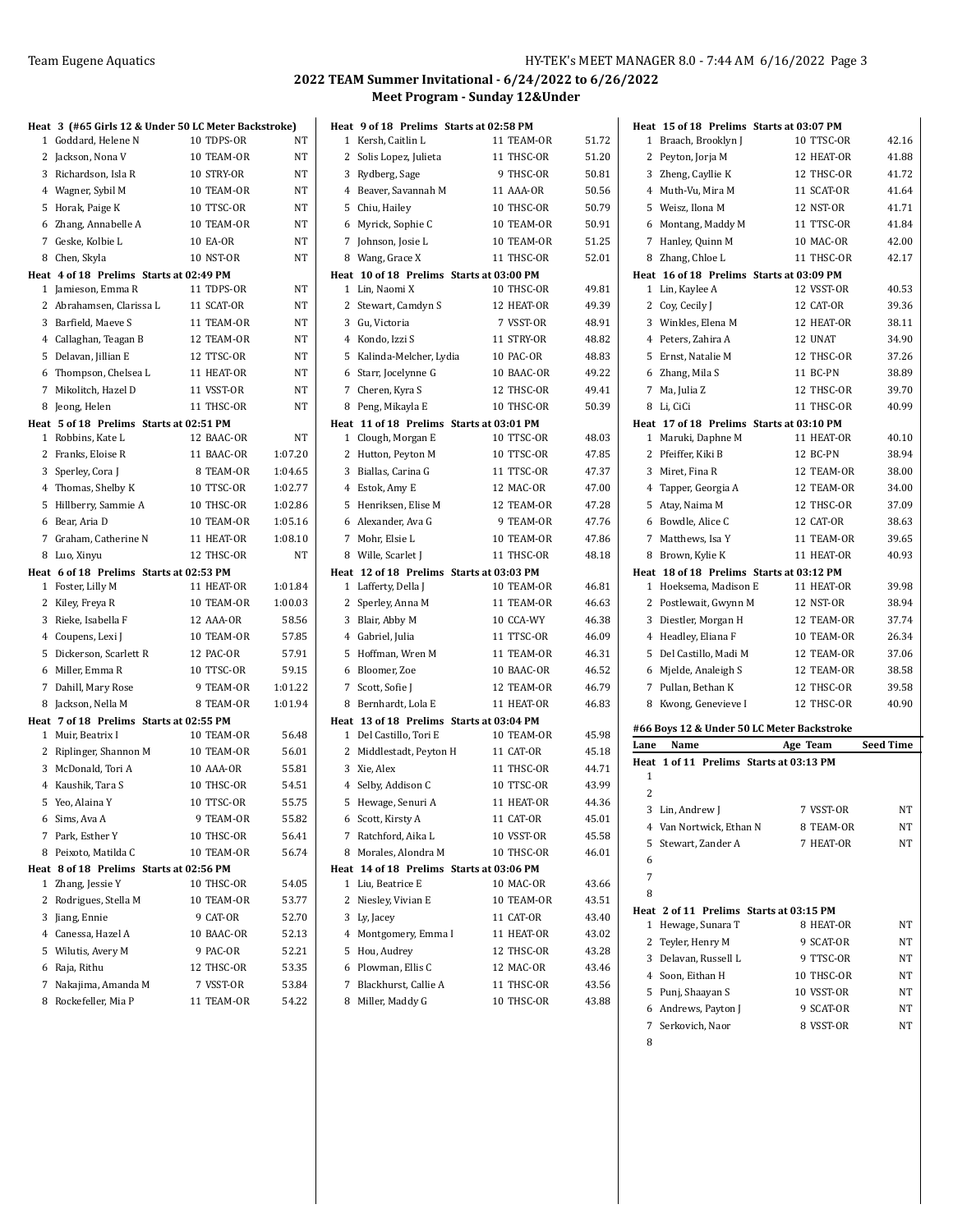|   | Heat 3 (#65 Girls 12 & Under 50 LC Meter Backstroke)         |                         |                |
|---|--------------------------------------------------------------|-------------------------|----------------|
|   | 1 Goddard, Helene N                                          | 10 TDPS-OR              | NT             |
|   | 2 Jackson, Nona V                                            | 10 TEAM-OR              | NT             |
|   | 3 Richardson, Isla R                                         | 10 STRY-OR              | NT             |
|   | 4 Wagner, Sybil M                                            | 10 TEAM-OR              | NT             |
| 5 | Horak, Paige K                                               | 10 TTSC-OR              | NT             |
| 6 | Zhang, Annabelle A                                           | 10 TEAM-OR              | NT             |
|   | 7 Geske, Kolbie L                                            | <b>10 EA-OR</b>         | NT             |
| 8 | Chen, Skyla                                                  | 10 NST-OR               | NT             |
|   | Heat 4 of 18 Prelims Starts at 02:49 PM                      |                         |                |
|   | 1 Jamieson, Emma R                                           | 11 TDPS-OR              | NT             |
|   | 2 Abrahamsen, Clarissa L                                     | 11 SCAT-OR              | NT             |
|   | 3 Barfield, Maeve S                                          | 11 TEAM-OR              | NT             |
|   | 4 Callaghan, Teagan B                                        | 12 TEAM-OR              | <b>NT</b>      |
| 5 | Delavan, Jillian E                                           | 12 TTSC-OR              | NT             |
| 6 | Thompson, Chelsea L                                          | 11 HEAT-OR              | NT             |
| 7 | Mikolitch, Hazel D                                           | 11 VSST-OR              | NT             |
| 8 | Jeong, Helen                                                 | 11 THSC-OR              | NT             |
|   | Heat 5 of 18 Prelims Starts at 02:51 PM                      |                         |                |
|   | 1 Robbins, Kate L                                            | 12 BAAC-OR              | NT             |
|   | 2 Franks, Eloise R                                           | 11 BAAC-OR              | 1:07.20        |
| 3 | Sperley, Cora J                                              | 8 TEAM-OR               | 1:04.65        |
|   | 4 Thomas, Shelby K                                           | 10 TTSC-OR              | 1:02.77        |
| 5 | Hillberry, Sammie A                                          | 10 THSC-OR              | 1:02.86        |
| 6 | Bear, Aria D                                                 | 10 TEAM-OR              | 1:05.16        |
|   | 7 Graham, Catherine N                                        | 11 HEAT-OR              | 1:08.10        |
| 8 | Luo, Xinyu                                                   | 12 THSC-OR              | NT             |
|   | Heat 6 of 18 Prelims Starts at 02:53 PM                      |                         |                |
|   | 1 Foster, Lilly M                                            | 11 HEAT-OR              | 1:01.84        |
|   | 2 Kiley, Freya R                                             | 10 TEAM-OR              | 1:00.03        |
| 3 | Rieke, Isabella F                                            | 12 AAA-OR               | 58.56          |
|   | 4 Coupens, Lexi J                                            | 10 TEAM-OR              | 57.85          |
| 5 | Dickerson, Scarlett R                                        | 12 PAC-OR<br>10 TTSC-OR | 57.91<br>59.15 |
| 6 | Miller, Emma R                                               | 9 TEAM-OR               | 1:01.22        |
|   | 7 Dahill, Mary Rose<br>Jackson, Nella M                      | 8 TEAM-OR               | 1:01.94        |
| 8 |                                                              |                         |                |
|   | Heat 7 of 18 Prelims Starts at 02:55 PM<br>1 Muir, Beatrix I | 10 TEAM-OR              | 56.48          |
|   | 2 Riplinger, Shannon M                                       | 10 TEAM-OR              | 56.01          |
|   | 3 McDonald, Tori A                                           | 10 AAA-OR               | 55.81          |
|   | 4 Kaushik, Tara S                                            | 10 THSC-OR              | 54.51          |
|   | 5 Yeo, Alaina Y                                              | 10 TTSC-OR              | 55.75          |
|   | 6 Sims, Ava A                                                | 9 TEAM-OR               | 55.82          |
|   | 7 Park, Esther Y                                             | 10 THSC-OR              | 56.41          |
| 8 | Peixoto, Matilda C                                           | 10 TEAM-OR              | 56.74          |
|   | Heat 8 of 18 Prelims Starts at 02:56 PM                      |                         |                |
| 1 | Zhang, Jessie Y                                              | 10 THSC-OR              | 54.05          |
| 2 | Rodrigues, Stella M                                          | 10 TEAM-OR              | 53.77          |
|   | 3 Jiang, Ennie                                               | 9 CAT-OR                | 52.70          |
|   | 4 Canessa, Hazel A                                           | 10 BAAC-OR              | 52.13          |
|   | 5 Wilutis, Avery M                                           | 9 PAC-OR                | 52.21          |
|   | 6 Raja, Rithu                                                | 12 THSC-OR              | 53.35          |
| 7 | Nakajima, Amanda M                                           | 7 VSST-OR               | 53.84          |
|   | 8 Rockefeller, Mia P                                         | 11 TEAM-OR              | 54.22          |

|              | Heat 9 of 18 Prelims Starts at 02:58 PM  |            |       |
|--------------|------------------------------------------|------------|-------|
| 1            | Kersh, Caitlin L                         | 11 TEAM-OR | 51.72 |
| 2            | Solis Lopez, Julieta                     | 11 THSC-OR | 51.20 |
| 3            | Rydberg, Sage                            | 9 THSC-OR  | 50.81 |
|              | 4 Beaver, Savannah M                     | 11 AAA-OR  | 50.56 |
| 5            | Chiu, Hailey                             | 10 THSC-OR | 50.79 |
|              | 6 Myrick, Sophie C                       | 10 TEAM-OR | 50.91 |
|              | 7 Johnson, Josie L                       | 10 TEAM-OR | 51.25 |
|              | 8 Wang, Grace X                          | 11 THSC-OR | 52.01 |
|              | Heat 10 of 18 Prelims Starts at 03:00 PM |            |       |
|              | 1 Lin, Naomi X                           | 10 THSC-OR | 49.81 |
| 2            | Stewart, Camdyn S                        | 12 HEAT-OR | 49.39 |
| 3            | Gu, Victoria                             | 7 VSST-OR  | 48.91 |
|              | 4 Kondo, Izzi S                          | 11 STRY-OR | 48.82 |
| 5            | Kalinda-Melcher, Lydia                   | 10 PAC-OR  | 48.83 |
|              | 6 Starr, Jocelynne G                     | 10 BAAC-OR | 49.22 |
| 7            | Cheren, Kyra S                           | 12 THSC-OR | 49.41 |
| 8            | Peng, Mikayla E                          | 10 THSC-OR | 50.39 |
|              | Heat 11 of 18 Prelims Starts at 03:01 PM |            |       |
|              | 1 Clough, Morgan E                       | 10 TTSC-OR | 48.03 |
| 2            | Hutton, Peyton M                         | 10 TTSC-OR | 47.85 |
| 3            | Biallas, Carina G                        | 11 TTSC-OR | 47.37 |
|              | 4 Estok, Amy E                           | 12 MAC-OR  | 47.00 |
| 5            | Henriksen, Elise M                       | 12 TEAM-OR | 47.28 |
|              | 6 Alexander, Ava G                       | 9 TEAM-OR  | 47.76 |
|              | 7 Mohr, Elsie L                          | 10 TEAM-OR | 47.86 |
|              | 8 Wille, Scarlet J                       | 11 THSC-OR | 48.18 |
|              | Heat 12 of 18 Prelims Starts at 03:03 PM |            |       |
|              | 1 Lafferty, Della J                      | 10 TEAM-OR | 46.81 |
| 2            | Sperley, Anna M                          | 11 TEAM-OR | 46.63 |
|              | 3 Blair, Abby M                          | 10 CCA-WY  | 46.38 |
|              | 4 Gabriel, Julia                         | 11 TTSC-OR | 46.09 |
| 5            | Hoffman, Wren M                          | 11 TEAM-OR | 46.31 |
| 6            | Bloomer, Zoe                             | 10 BAAC-OR | 46.52 |
| 7            | Scott, Sofie J                           | 12 TEAM-OR | 46.79 |
| 8            | Bernhardt, Lola E                        | 11 HEAT-OR | 46.83 |
|              | Heat 13 of 18 Prelims Starts at 03:04 PM |            |       |
| $\mathbf{1}$ | Del Castillo, Tori E                     | 10 TEAM-OR | 45.98 |
| 2            | Middlestadt, Peyton H                    | 11 CAT-OR  | 45.18 |
|              | 3 Xie, Alex                              | 11 THSC-OR | 44.71 |
|              | 4 Selby, Addison C                       | 10 TTSC-OR | 43.99 |
| 5            | Hewage, Senuri A                         | 11 HEAT-OR | 44.36 |
|              | 6 Scott, Kirsty A                        | 11 CAT-OR  | 45.01 |
|              | 7 Ratchford, Aika L                      | 10 VSST-OR | 45.58 |
| 8            | Morales, Alondra M                       | 10 THSC-OR | 46.01 |
|              | Heat 14 of 18 Prelims Starts at 03:06 PM |            |       |
| 1            | Liu, Beatrice E                          | 10 MAC-OR  | 43.66 |
| 2            | Niesley, Vivian E                        | 10 TEAM-OR | 43.51 |
|              | 3 Ly, Jacey                              | 11 CAT-OR  | 43.40 |
|              | 4 Montgomery, Emma I                     | 11 HEAT-OR | 43.02 |
| 5            | Hou, Audrey                              | 12 THSC-OR | 43.28 |
| 6            | Plowman, Ellis C                         | 12 MAC-OR  | 43.46 |
| 7            | Blackhurst, Callie A                     | 11 THSC-OR | 43.56 |
| 8            | Miller, Maddy G                          | 10 THSC-OR | 43.88 |

|                | Heat 15 of 18 Prelims Starts at 03:07 PM   |                                            |                  |
|----------------|--------------------------------------------|--------------------------------------------|------------------|
|                | 1 Braach, Brooklyn J                       | 10 TTSC-OR                                 | 42.16            |
|                | 2 Peyton, Jorja M                          | 12 HEAT-OR                                 | 41.88            |
| 3              | Zheng, Cayllie K                           | 12 THSC-OR                                 | 41.72            |
|                | 4 Muth-Vu, Mira M                          | 11 SCAT-OR                                 | 41.64            |
|                | 5 Weisz, Ilona M                           | 12 NST-OR                                  | 41.71            |
| 6              | Montang, Maddy M                           | 11 TTSC-OR                                 | 41.84            |
| 7              | Hanley, Quinn M                            | 10 MAC-OR                                  | 42.00            |
| 8              | Zhang, Chloe L                             | 11 THSC-OR                                 | 42.17            |
|                | Heat 16 of 18 Prelims Starts at 03:09 PM   |                                            |                  |
| 1              | Lin, Kaylee A                              | 12 VSST-OR                                 | 40.53            |
| 2              | Coy, Cecily J                              | 12 CAT-OR                                  | 39.36            |
| 3              | Winkles, Elena M                           | 12 HEAT-OR                                 | 38.11            |
|                | 4 Peters, Zahira A                         | 12 UNAT                                    | 34.90            |
| 5              | Ernst, Natalie M                           | 12 THSC-OR                                 | 37.26            |
| 6              | Zhang, Mila S                              | 11 BC-PN                                   | 38.89            |
| $7^{\circ}$    | Ma, Julia Z                                | 12 THSC-OR                                 | 39.70            |
| 8              | Li, CiCi                                   | 11 THSC-OR                                 | 40.99            |
|                | Heat 17 of 18 Prelims Starts at 03:10 PM   |                                            |                  |
| 1              | Maruki, Daphne M                           | 11 HEAT-OR                                 | 40.10            |
| 2              | Pfeiffer, Kiki B                           | 12 BC-PN                                   | 38.94            |
| 3              | Miret, Fina R                              | 12 TEAM-OR                                 | 38.00            |
|                | 4 Tapper, Georgia A                        | 12 TEAM-OR                                 | 34.00            |
|                | 5 Atay, Naima M                            | 12 THSC-OR                                 | 37.09            |
|                | 6 Bowdle, Alice C                          | 12 CAT-OR                                  | 38.63            |
|                | 7 Matthews, Isa Y                          | 11 TEAM-OR                                 | 39.65            |
| 8              | Brown, Kylie K                             | 11 HEAT-OR                                 | 40.93            |
|                | Heat 18 of 18 Prelims Starts at 03:12 PM   |                                            |                  |
| 1              | Hoeksema, Madison E                        | 11 HEAT-OR                                 | 39.98            |
| 2              | Postlewait, Gwynn M                        | 12 NST-OR                                  | 38.94            |
| 3              | Diestler, Morgan H                         | 12 TEAM-OR                                 | 37.74            |
| 4              | Headley, Eliana F                          | 10 TEAM-OR                                 | 26.34            |
| 5              | Del Castillo, Madi M                       | 12 TEAM-OR                                 | 37.06            |
| 6              | Mjelde, Analeigh S                         | 12 TEAM-OR                                 | 38.58            |
| 7              | Pullan, Bethan K                           | 12 THSC-OR                                 | 39.58            |
| 8              | Kwong, Genevieve I                         | 12 THSC-OR                                 | 40.90            |
|                |                                            |                                            |                  |
|                |                                            | #66 Boys 12 & Under 50 LC Meter Backstroke |                  |
| Lane           | Name<br>1 of 11 Prelims Starts at 03:13 PM | Age Team                                   | <b>Seed Time</b> |
| Heat<br>1      |                                            |                                            |                  |
| $\overline{2}$ |                                            |                                            |                  |
| 3              | Lin, Andrew J                              | 7 VSST-OR                                  | NT               |
| 4              | Van Nortwick, Ethan N                      | 8 TEAM-OR                                  | NT               |
| 5              | Stewart, Zander A                          | 7 HEAT-OR                                  | NΤ               |
| 6              |                                            |                                            |                  |
| 7              |                                            |                                            |                  |
|                |                                            |                                            |                  |
| 8<br>Heat      | 2 of 11 Prelims Starts at 03:15 PM         |                                            |                  |
| 1              | Hewage, Sunara T                           | 8 HEAT-OR                                  | NΤ               |
| 2              | Teyler, Henry M                            | 9 SCAT-OR                                  | NΤ               |
| 3              | Delavan, Russell L                         | 9 TTSC-OR                                  | NT               |
| 4              | Soon, Eithan H                             | 10 THSC-OR                                 | NΤ               |
| 5              | Punj, Shaayan S                            | 10 VSST-OR                                 | NΤ               |
|                | 6 Andrews, Payton J                        | 9 SCAT-OR                                  | NΤ               |
| 7              | Serkovich, Naor                            | 8 VSST-OR                                  | NΤ               |
|                |                                            |                                            |                  |
| 8              |                                            |                                            |                  |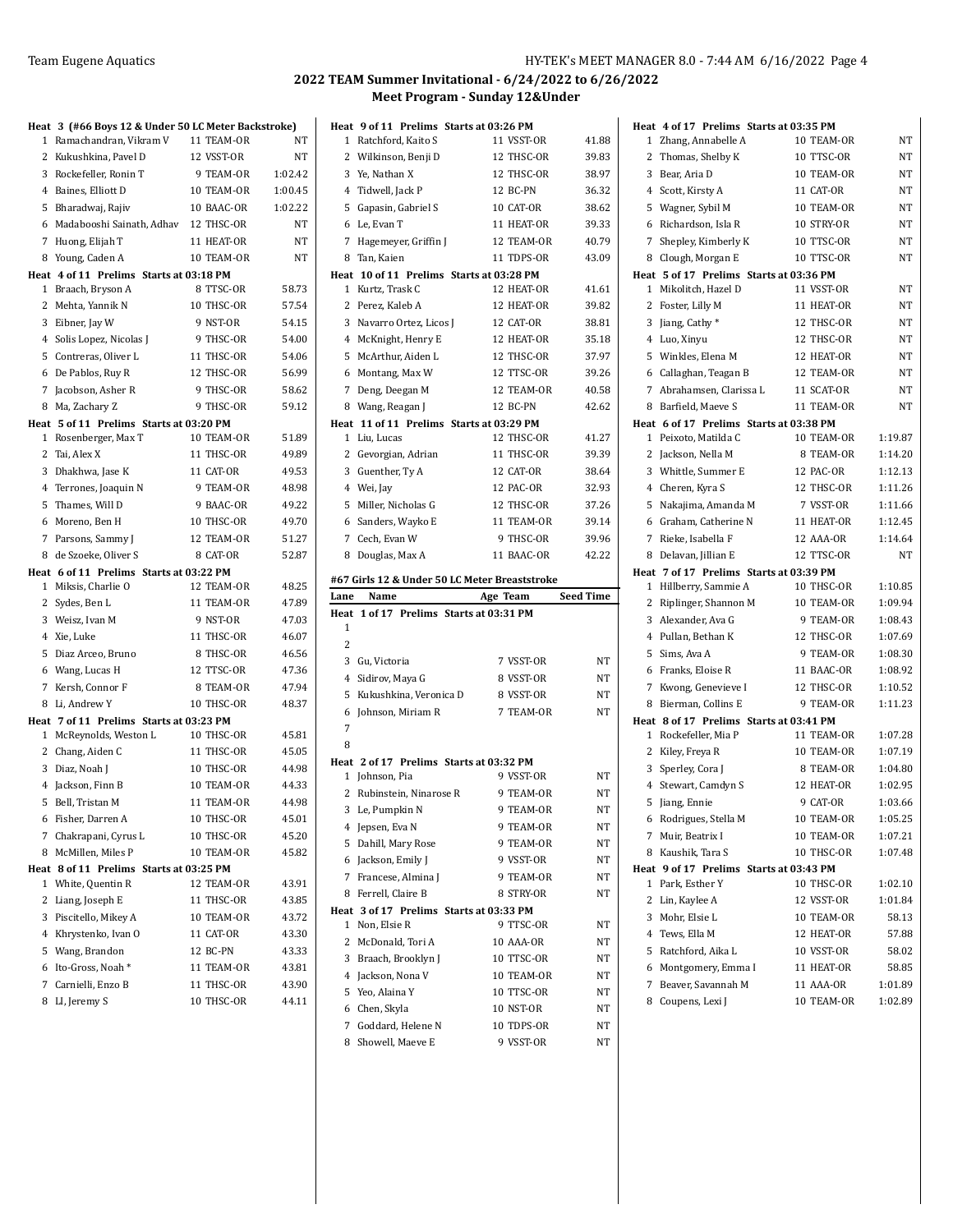|   | Heat 3 (#66 Boys 12 & Under 50 LC Meter Backstroke) |            |           |
|---|-----------------------------------------------------|------------|-----------|
|   | 1 Ramachandran, Vikram V                            | 11 TEAM-OR | NT        |
|   | 2 Kukushkina, Pavel D                               | 12 VSST-OR | NT        |
|   | 3 Rockefeller, Ronin T                              | 9 TEAM-OR  | 1:02.42   |
|   | 4 Baines, Elliott D                                 | 10 TEAM-OR | 1:00.45   |
| 5 | Bharadwaj, Rajiv                                    | 10 BAAC-OR | 1:02.22   |
|   | 6 Madabooshi Sainath, Adhav                         | 12 THSC-OR | <b>NT</b> |
|   | 7 Huong, Elijah T                                   | 11 HEAT-OR | NT        |
|   | 8 Young, Caden A                                    | 10 TEAM-OR | NT        |
|   | Heat 4 of 11 Prelims Starts at 03:18 PM             |            |           |
|   | 1 Braach, Bryson A                                  | 8 TTSC-OR  | 58.73     |
|   | 2 Mehta, Yannik N                                   | 10 THSC-OR | 57.54     |
|   | 3 Eibner, Jay W                                     | 9 NST-OR   | 54.15     |
|   | 4 Solis Lopez, Nicolas J                            | 9 THSC-OR  | 54.00     |
| 5 | Contreras, Oliver L                                 | 11 THSC-OR | 54.06     |
|   | 6 De Pablos, Ruy R                                  | 12 THSC-OR | 56.99     |
|   | 7 Jacobson, Asher R                                 | 9 THSC-OR  | 58.62     |
|   | 8 Ma, Zachary Z                                     | 9 THSC-OR  | 59.12     |
|   | Heat 5 of 11 Prelims Starts at 03:20 PM             |            |           |
|   | 1 Rosenberger, Max T                                | 10 TEAM-OR | 51.89     |
|   | 2 Tai, Alex X                                       | 11 THSC-OR | 49.89     |
|   | 3 Dhakhwa, Jase K                                   | 11 CAT-OR  | 49.53     |
|   | 4 Terrones, Joaquin N                               | 9 TEAM-OR  | 48.98     |
| 5 | Thames, Will D                                      | 9 BAAC-OR  | 49.22     |
| 6 | Moreno, Ben H                                       | 10 THSC-OR | 49.70     |
|   | 7 Parsons, Sammy J                                  | 12 TEAM-OR | 51.27     |
|   | 8 de Szoeke, Oliver S                               | 8 CAT-OR   | 52.87     |
|   | Heat 6 of 11 Prelims Starts at 03:22 PM             | 12 TEAM-OR | 48.25     |
|   | 1 Miksis, Charlie O<br>2 Sydes, Ben L               | 11 TEAM-OR | 47.89     |
|   | 3 Weisz, Ivan M                                     | 9 NST-OR   | 47.03     |
|   | 4 Xie, Luke                                         | 11 THSC-OR | 46.07     |
|   | 5 Diaz Arceo, Bruno                                 | 8 THSC-OR  | 46.56     |
|   | 6 Wang, Lucas H                                     | 12 TTSC-OR | 47.36     |
|   | 7 Kersh, Connor F                                   | 8 TEAM-OR  | 47.94     |
|   | 8 Li, Andrew Y                                      | 10 THSC-OR | 48.37     |
|   | Heat 7 of 11 Prelims Starts at 03:23 PM             |            |           |
|   | 1 McReynolds, Weston L                              | 10 THSC-OR | 45.81     |
|   | 2 Chang, Aiden C                                    | 11 THSC-OR | 45.05     |
|   | 3 Diaz, Noah J                                      | 10 THSC-OR | 44.98     |
|   | 4 Jackson, Finn B                                   | 10 TEAM-OR | 44.33     |
|   | 5 Bell, Tristan M                                   | 11 TEAM-OR | 44.98     |
|   | 6 Fisher, Darren A                                  | 10 THSC-OR | 45.01     |
|   | 7 Chakrapani, Cyrus L                               | 10 THSC-OR | 45.20     |
| 8 | McMillen, Miles P                                   | 10 TEAM-OR | 45.82     |
|   | Heat 8 of 11 Prelims Starts at 03:25 PM             |            |           |
| 1 | White, Quentin R                                    | 12 TEAM-OR | 43.91     |
| 2 | Liang, Joseph E                                     | 11 THSC-OR | 43.85     |
| 3 | Piscitello, Mikey A                                 | 10 TEAM-OR | 43.72     |
|   | 4 Khrystenko, Ivan O                                | 11 CAT-OR  | 43.30     |
|   | 5 Wang, Brandon                                     | 12 BC-PN   | 43.33     |
|   | 6 Ito-Gross, Noah *                                 | 11 TEAM-OR | 43.81     |
|   | 7 Carnielli, Enzo B                                 | 11 THSC-OR | 43.90     |
|   | 8 LI, Jeremy S                                      | 10 THSC-OR | 44.11     |

|      | Heat 9 of 11 Prelims Starts at 03:26 PM       |            |           |
|------|-----------------------------------------------|------------|-----------|
| 1    | Ratchford, Kaito S                            | 11 VSST-OR | 41.88     |
|      | 2 Wilkinson, Benji D                          | 12 THSC-OR | 39.83     |
|      | 3 Ye, Nathan X                                | 12 THSC-OR | 38.97     |
|      | 4 Tidwell, Jack P                             | 12 BC-PN   | 36.32     |
|      | 5 Gapasin, Gabriel S                          | 10 CAT-OR  | 38.62     |
|      | 6 Le, Evan T                                  | 11 HEAT-OR | 39.33     |
|      | 7 Hagemeyer, Griffin J                        | 12 TEAM-OR | 40.79     |
|      | 8 Tan, Kaien                                  | 11 TDPS-OR | 43.09     |
|      | Heat 10 of 11 Prelims Starts at 03:28 PM      |            |           |
|      | 1 Kurtz, Trask C                              | 12 HEAT-OR | 41.61     |
|      | 2 Perez, Kaleb A                              | 12 HEAT-OR | 39.82     |
|      | 3 Navarro Ortez, Licos J                      | 12 CAT-OR  | 38.81     |
|      | 4 McKnight, Henry E                           | 12 HEAT-OR | 35.18     |
|      | 5 McArthur, Aiden L                           | 12 THSC-OR | 37.97     |
|      | 6 Montang, Max W                              | 12 TTSC-OR | 39.26     |
|      | 7 Deng, Deegan M                              | 12 TEAM-OR | 40.58     |
|      | 8 Wang, Reagan J                              | 12 BC-PN   | 42.62     |
|      | Heat 11 of 11 Prelims Starts at 03:29 PM      |            |           |
|      | 1 Liu, Lucas                                  | 12 THSC-OR | 41.27     |
|      | 2 Gevorgian, Adrian                           | 11 THSC-OR | 39.39     |
|      | 3 Guenther, Ty A                              | 12 CAT-OR  | 38.64     |
|      | 4 Wei, Jay                                    | 12 PAC-OR  | 32.93     |
|      | 5 Miller, Nicholas G                          | 12 THSC-OR | 37.26     |
|      | 6 Sanders, Wayko E                            | 11 TEAM-OR | 39.14     |
|      | 7 Cech, Evan W                                | 9 THSC-OR  | 39.96     |
|      | 8 Douglas, Max A                              | 11 BAAC-OR | 42.22     |
|      |                                               |            |           |
|      | #67 Girls 12 & Under 50 LC Meter Breaststroke |            |           |
|      |                                               |            |           |
| Lane | Name                                          | Age Team   | Seed Time |
|      | Heat 1 of 17 Prelims Starts at 03:31 PM       |            |           |
| 1    |                                               |            |           |
| 2    |                                               |            |           |
|      | 3 Gu, Victoria                                | 7 VSST-OR  | NT        |
|      | 4 Sidirov, Maya G                             | 8 VSST-OR  | NT        |
|      | 5 Kukushkina, Veronica D                      | 8 VSST-OR  | NT        |
| 6    | Johnson, Miriam R                             | 7 TEAM-OR  | NT        |
| 7    |                                               |            |           |
| 8    |                                               |            |           |
|      | Heat 2 of 17 Prelims Starts at 03:32 PM       |            |           |
|      | 1 Johnson, Pia                                | 9 VSST-OR  | NT        |
| 2    | Rubinstein, Ninarose R                        | 9 TEAM-OR  | NT        |
|      | 3 Le, Pumpkin N                               | 9 TEAM-OR  | NT        |
|      | 4 Jepsen, Eva N                               | 9 TEAM-OR  | ΝT        |
| 5    | Dahill, Mary Rose                             | 9 TEAM-OR  | ΝT        |
|      | 6 Jackson, Emily J                            | 9 VSST-OR  | NΤ        |
|      | 7 Francese, Almina J                          | 9 TEAM-OR  | NT        |
| 8    | Ferrell, Claire B                             | 8 STRY-OR  | NT        |
|      | Heat 3 of 17 Prelims Starts at 03:33 PM       |            |           |
| 1    | Non, Elsie R                                  | 9 TTSC-OR  | NΤ        |
| 2    | McDonald, Tori A                              | 10 AAA-OR  | NΤ        |
| 3    | Braach, Brooklyn J                            | 10 TTSC-OR | ΝT        |
|      | 4 Jackson, Nona V                             | 10 TEAM-OR | NΤ        |
|      | 5 Yeo, Alaina Y                               | 10 TTSC-OR | ΝT        |
|      | 6 Chen, Skyla                                 | 10 NST-OR  | ΝT        |
| 7    | Goddard, Helene N                             | 10 TDPS-OR | NT        |
| 8    | Showell, Maeve E                              | 9 VSST-OR  | ΝT        |

| 1 Zhang, Annabelle A<br>10 TEAM-OR<br>NΤ<br>10 TTSC-OR<br>2<br>Thomas, Shelby K<br>NΤ<br>3<br>Bear, Aria D<br>10 TEAM-OR<br>NΤ<br>4 Scott, Kirsty A<br>11 CAT-OR<br>NT<br>5<br>Wagner, Sybil M<br>10 TEAM-OR<br>NT<br>Richardson, Isla R<br>6<br>10 STRY-OR<br>NT<br>7<br>10 TTSC-OR<br>Shepley, Kimberly K<br>NT<br>8 Clough, Morgan E<br>10 TTSC-OR<br>NT<br>Heat 5 of 17 Prelims Starts at 03:36 PM<br>1 Mikolitch, Hazel D<br>11 VSST-OR<br>NT<br>11 HEAT-OR<br>2<br>Foster, Lilly M<br><b>NT</b><br>Jiang, Cathy*<br>12 THSC-OR<br>3<br>NΤ<br>Luo, Xinyu<br>12 THSC-OR<br>4<br>NΤ<br>Winkles, Elena M<br>12 HEAT-OR<br>5<br>NΤ<br>6 Callaghan, Teagan B<br>12 TEAM-OR<br>NT<br>7 Abrahamsen, Clarissa L<br>11 SCAT-OR<br>NT<br>8 Barfield, Maeve S<br>11 TEAM-OR<br>NT<br>Heat 6 of 17 Prelims Starts at 03:38 PM<br>1 Peixoto, Matilda C<br>10 TEAM-OR<br>1:19.87<br>8 TEAM-OR<br>2<br>Jackson, Nella M<br>1:14.20<br>3<br>Whittle, Summer E<br>12 PAC-OR<br>1:12.13<br>Cheren, Kyra S<br>1:11.26<br>4<br>12 THSC-OR<br>Nakajima, Amanda M<br>7 VSST-OR<br>1:11.66<br>5<br>Graham, Catherine N<br>11 HEAT-OR<br>1:12.45<br>6<br>Rieke, Isabella F<br>12 AAA-OR<br>1:14.64<br>7<br>Delavan, Jillian E<br>12 TTSC-OR<br>8<br>NT<br>Heat 7 of 17 Prelims Starts at 03:39 PM<br>Hillberry, Sammie A<br>10 THSC-OR<br>1:10.85<br>1<br>2<br>Riplinger, Shannon M<br>10 TEAM-OR<br>1:09.94<br>3<br>Alexander, Ava G<br>9 TEAM-OR<br>1:08.43<br>1:07.69<br>4<br>Pullan, Bethan K<br>12 THSC-OR<br>Sims, Ava A<br>1:08.30<br>5<br>9 TEAM-OR<br>11 BAAC-OR<br>Franks, Eloise R<br>1:08.92<br>6<br>Kwong, Genevieve I<br>12 THSC-OR<br>1:10.52<br>7<br>Bierman, Collins E<br>9 TEAM-OR<br>1:11.23<br>8<br>Heat 8 of 17 Prelims Starts at 03:41 PM<br>Rockefeller, Mia P<br>11 TEAM-OR<br>1:07.28<br>1<br>2<br>Kiley, Freya R<br>10 TEAM-OR<br>1:07.19 |
|--------------------------------------------------------------------------------------------------------------------------------------------------------------------------------------------------------------------------------------------------------------------------------------------------------------------------------------------------------------------------------------------------------------------------------------------------------------------------------------------------------------------------------------------------------------------------------------------------------------------------------------------------------------------------------------------------------------------------------------------------------------------------------------------------------------------------------------------------------------------------------------------------------------------------------------------------------------------------------------------------------------------------------------------------------------------------------------------------------------------------------------------------------------------------------------------------------------------------------------------------------------------------------------------------------------------------------------------------------------------------------------------------------------------------------------------------------------------------------------------------------------------------------------------------------------------------------------------------------------------------------------------------------------------------------------------------------------------------------------------------------------------------------------------------------------------------------------------------|
|                                                                                                                                                                                                                                                                                                                                                                                                                                                                                                                                                                                                                                                                                                                                                                                                                                                                                                                                                                                                                                                                                                                                                                                                                                                                                                                                                                                                                                                                                                                                                                                                                                                                                                                                                                                                                                                  |
|                                                                                                                                                                                                                                                                                                                                                                                                                                                                                                                                                                                                                                                                                                                                                                                                                                                                                                                                                                                                                                                                                                                                                                                                                                                                                                                                                                                                                                                                                                                                                                                                                                                                                                                                                                                                                                                  |
|                                                                                                                                                                                                                                                                                                                                                                                                                                                                                                                                                                                                                                                                                                                                                                                                                                                                                                                                                                                                                                                                                                                                                                                                                                                                                                                                                                                                                                                                                                                                                                                                                                                                                                                                                                                                                                                  |
|                                                                                                                                                                                                                                                                                                                                                                                                                                                                                                                                                                                                                                                                                                                                                                                                                                                                                                                                                                                                                                                                                                                                                                                                                                                                                                                                                                                                                                                                                                                                                                                                                                                                                                                                                                                                                                                  |
|                                                                                                                                                                                                                                                                                                                                                                                                                                                                                                                                                                                                                                                                                                                                                                                                                                                                                                                                                                                                                                                                                                                                                                                                                                                                                                                                                                                                                                                                                                                                                                                                                                                                                                                                                                                                                                                  |
|                                                                                                                                                                                                                                                                                                                                                                                                                                                                                                                                                                                                                                                                                                                                                                                                                                                                                                                                                                                                                                                                                                                                                                                                                                                                                                                                                                                                                                                                                                                                                                                                                                                                                                                                                                                                                                                  |
|                                                                                                                                                                                                                                                                                                                                                                                                                                                                                                                                                                                                                                                                                                                                                                                                                                                                                                                                                                                                                                                                                                                                                                                                                                                                                                                                                                                                                                                                                                                                                                                                                                                                                                                                                                                                                                                  |
|                                                                                                                                                                                                                                                                                                                                                                                                                                                                                                                                                                                                                                                                                                                                                                                                                                                                                                                                                                                                                                                                                                                                                                                                                                                                                                                                                                                                                                                                                                                                                                                                                                                                                                                                                                                                                                                  |
|                                                                                                                                                                                                                                                                                                                                                                                                                                                                                                                                                                                                                                                                                                                                                                                                                                                                                                                                                                                                                                                                                                                                                                                                                                                                                                                                                                                                                                                                                                                                                                                                                                                                                                                                                                                                                                                  |
|                                                                                                                                                                                                                                                                                                                                                                                                                                                                                                                                                                                                                                                                                                                                                                                                                                                                                                                                                                                                                                                                                                                                                                                                                                                                                                                                                                                                                                                                                                                                                                                                                                                                                                                                                                                                                                                  |
|                                                                                                                                                                                                                                                                                                                                                                                                                                                                                                                                                                                                                                                                                                                                                                                                                                                                                                                                                                                                                                                                                                                                                                                                                                                                                                                                                                                                                                                                                                                                                                                                                                                                                                                                                                                                                                                  |
|                                                                                                                                                                                                                                                                                                                                                                                                                                                                                                                                                                                                                                                                                                                                                                                                                                                                                                                                                                                                                                                                                                                                                                                                                                                                                                                                                                                                                                                                                                                                                                                                                                                                                                                                                                                                                                                  |
|                                                                                                                                                                                                                                                                                                                                                                                                                                                                                                                                                                                                                                                                                                                                                                                                                                                                                                                                                                                                                                                                                                                                                                                                                                                                                                                                                                                                                                                                                                                                                                                                                                                                                                                                                                                                                                                  |
|                                                                                                                                                                                                                                                                                                                                                                                                                                                                                                                                                                                                                                                                                                                                                                                                                                                                                                                                                                                                                                                                                                                                                                                                                                                                                                                                                                                                                                                                                                                                                                                                                                                                                                                                                                                                                                                  |
|                                                                                                                                                                                                                                                                                                                                                                                                                                                                                                                                                                                                                                                                                                                                                                                                                                                                                                                                                                                                                                                                                                                                                                                                                                                                                                                                                                                                                                                                                                                                                                                                                                                                                                                                                                                                                                                  |
|                                                                                                                                                                                                                                                                                                                                                                                                                                                                                                                                                                                                                                                                                                                                                                                                                                                                                                                                                                                                                                                                                                                                                                                                                                                                                                                                                                                                                                                                                                                                                                                                                                                                                                                                                                                                                                                  |
|                                                                                                                                                                                                                                                                                                                                                                                                                                                                                                                                                                                                                                                                                                                                                                                                                                                                                                                                                                                                                                                                                                                                                                                                                                                                                                                                                                                                                                                                                                                                                                                                                                                                                                                                                                                                                                                  |
|                                                                                                                                                                                                                                                                                                                                                                                                                                                                                                                                                                                                                                                                                                                                                                                                                                                                                                                                                                                                                                                                                                                                                                                                                                                                                                                                                                                                                                                                                                                                                                                                                                                                                                                                                                                                                                                  |
|                                                                                                                                                                                                                                                                                                                                                                                                                                                                                                                                                                                                                                                                                                                                                                                                                                                                                                                                                                                                                                                                                                                                                                                                                                                                                                                                                                                                                                                                                                                                                                                                                                                                                                                                                                                                                                                  |
|                                                                                                                                                                                                                                                                                                                                                                                                                                                                                                                                                                                                                                                                                                                                                                                                                                                                                                                                                                                                                                                                                                                                                                                                                                                                                                                                                                                                                                                                                                                                                                                                                                                                                                                                                                                                                                                  |
|                                                                                                                                                                                                                                                                                                                                                                                                                                                                                                                                                                                                                                                                                                                                                                                                                                                                                                                                                                                                                                                                                                                                                                                                                                                                                                                                                                                                                                                                                                                                                                                                                                                                                                                                                                                                                                                  |
|                                                                                                                                                                                                                                                                                                                                                                                                                                                                                                                                                                                                                                                                                                                                                                                                                                                                                                                                                                                                                                                                                                                                                                                                                                                                                                                                                                                                                                                                                                                                                                                                                                                                                                                                                                                                                                                  |
|                                                                                                                                                                                                                                                                                                                                                                                                                                                                                                                                                                                                                                                                                                                                                                                                                                                                                                                                                                                                                                                                                                                                                                                                                                                                                                                                                                                                                                                                                                                                                                                                                                                                                                                                                                                                                                                  |
|                                                                                                                                                                                                                                                                                                                                                                                                                                                                                                                                                                                                                                                                                                                                                                                                                                                                                                                                                                                                                                                                                                                                                                                                                                                                                                                                                                                                                                                                                                                                                                                                                                                                                                                                                                                                                                                  |
|                                                                                                                                                                                                                                                                                                                                                                                                                                                                                                                                                                                                                                                                                                                                                                                                                                                                                                                                                                                                                                                                                                                                                                                                                                                                                                                                                                                                                                                                                                                                                                                                                                                                                                                                                                                                                                                  |
|                                                                                                                                                                                                                                                                                                                                                                                                                                                                                                                                                                                                                                                                                                                                                                                                                                                                                                                                                                                                                                                                                                                                                                                                                                                                                                                                                                                                                                                                                                                                                                                                                                                                                                                                                                                                                                                  |
|                                                                                                                                                                                                                                                                                                                                                                                                                                                                                                                                                                                                                                                                                                                                                                                                                                                                                                                                                                                                                                                                                                                                                                                                                                                                                                                                                                                                                                                                                                                                                                                                                                                                                                                                                                                                                                                  |
|                                                                                                                                                                                                                                                                                                                                                                                                                                                                                                                                                                                                                                                                                                                                                                                                                                                                                                                                                                                                                                                                                                                                                                                                                                                                                                                                                                                                                                                                                                                                                                                                                                                                                                                                                                                                                                                  |
|                                                                                                                                                                                                                                                                                                                                                                                                                                                                                                                                                                                                                                                                                                                                                                                                                                                                                                                                                                                                                                                                                                                                                                                                                                                                                                                                                                                                                                                                                                                                                                                                                                                                                                                                                                                                                                                  |
|                                                                                                                                                                                                                                                                                                                                                                                                                                                                                                                                                                                                                                                                                                                                                                                                                                                                                                                                                                                                                                                                                                                                                                                                                                                                                                                                                                                                                                                                                                                                                                                                                                                                                                                                                                                                                                                  |
|                                                                                                                                                                                                                                                                                                                                                                                                                                                                                                                                                                                                                                                                                                                                                                                                                                                                                                                                                                                                                                                                                                                                                                                                                                                                                                                                                                                                                                                                                                                                                                                                                                                                                                                                                                                                                                                  |
|                                                                                                                                                                                                                                                                                                                                                                                                                                                                                                                                                                                                                                                                                                                                                                                                                                                                                                                                                                                                                                                                                                                                                                                                                                                                                                                                                                                                                                                                                                                                                                                                                                                                                                                                                                                                                                                  |
|                                                                                                                                                                                                                                                                                                                                                                                                                                                                                                                                                                                                                                                                                                                                                                                                                                                                                                                                                                                                                                                                                                                                                                                                                                                                                                                                                                                                                                                                                                                                                                                                                                                                                                                                                                                                                                                  |
|                                                                                                                                                                                                                                                                                                                                                                                                                                                                                                                                                                                                                                                                                                                                                                                                                                                                                                                                                                                                                                                                                                                                                                                                                                                                                                                                                                                                                                                                                                                                                                                                                                                                                                                                                                                                                                                  |
|                                                                                                                                                                                                                                                                                                                                                                                                                                                                                                                                                                                                                                                                                                                                                                                                                                                                                                                                                                                                                                                                                                                                                                                                                                                                                                                                                                                                                                                                                                                                                                                                                                                                                                                                                                                                                                                  |
|                                                                                                                                                                                                                                                                                                                                                                                                                                                                                                                                                                                                                                                                                                                                                                                                                                                                                                                                                                                                                                                                                                                                                                                                                                                                                                                                                                                                                                                                                                                                                                                                                                                                                                                                                                                                                                                  |
|                                                                                                                                                                                                                                                                                                                                                                                                                                                                                                                                                                                                                                                                                                                                                                                                                                                                                                                                                                                                                                                                                                                                                                                                                                                                                                                                                                                                                                                                                                                                                                                                                                                                                                                                                                                                                                                  |
| Sperley, Cora J<br>1:04.80<br>3<br>8 TEAM-OR                                                                                                                                                                                                                                                                                                                                                                                                                                                                                                                                                                                                                                                                                                                                                                                                                                                                                                                                                                                                                                                                                                                                                                                                                                                                                                                                                                                                                                                                                                                                                                                                                                                                                                                                                                                                     |
| Stewart, Camdyn S<br>12 HEAT-OR<br>1:02.95<br>4                                                                                                                                                                                                                                                                                                                                                                                                                                                                                                                                                                                                                                                                                                                                                                                                                                                                                                                                                                                                                                                                                                                                                                                                                                                                                                                                                                                                                                                                                                                                                                                                                                                                                                                                                                                                  |
| Jiang, Ennie<br>9 CAT-OR<br>1:03.66<br>5                                                                                                                                                                                                                                                                                                                                                                                                                                                                                                                                                                                                                                                                                                                                                                                                                                                                                                                                                                                                                                                                                                                                                                                                                                                                                                                                                                                                                                                                                                                                                                                                                                                                                                                                                                                                         |
| 6 Rodrigues, Stella M<br>10 TEAM-OR<br>1:05.25                                                                                                                                                                                                                                                                                                                                                                                                                                                                                                                                                                                                                                                                                                                                                                                                                                                                                                                                                                                                                                                                                                                                                                                                                                                                                                                                                                                                                                                                                                                                                                                                                                                                                                                                                                                                   |
| 7<br>Muir, Beatrix I<br>10 TEAM-OR<br>1:07.21                                                                                                                                                                                                                                                                                                                                                                                                                                                                                                                                                                                                                                                                                                                                                                                                                                                                                                                                                                                                                                                                                                                                                                                                                                                                                                                                                                                                                                                                                                                                                                                                                                                                                                                                                                                                    |
| Kaushik, Tara S<br>10 THSC-OR<br>1:07.48<br>8                                                                                                                                                                                                                                                                                                                                                                                                                                                                                                                                                                                                                                                                                                                                                                                                                                                                                                                                                                                                                                                                                                                                                                                                                                                                                                                                                                                                                                                                                                                                                                                                                                                                                                                                                                                                    |
| Heat 9 of 17 Prelims Starts at 03:43 PM<br>Park, Esther Y<br>10 THSC-OR<br>1:02.10<br>1                                                                                                                                                                                                                                                                                                                                                                                                                                                                                                                                                                                                                                                                                                                                                                                                                                                                                                                                                                                                                                                                                                                                                                                                                                                                                                                                                                                                                                                                                                                                                                                                                                                                                                                                                          |
| 2<br>Lin, Kaylee A<br>12 VSST-OR<br>1:01.84                                                                                                                                                                                                                                                                                                                                                                                                                                                                                                                                                                                                                                                                                                                                                                                                                                                                                                                                                                                                                                                                                                                                                                                                                                                                                                                                                                                                                                                                                                                                                                                                                                                                                                                                                                                                      |
| 3<br>Mohr, Elsie L<br>10 TEAM-OR<br>58.13                                                                                                                                                                                                                                                                                                                                                                                                                                                                                                                                                                                                                                                                                                                                                                                                                                                                                                                                                                                                                                                                                                                                                                                                                                                                                                                                                                                                                                                                                                                                                                                                                                                                                                                                                                                                        |
| Tews, Ella M<br>4<br>12 HEAT-OR<br>57.88                                                                                                                                                                                                                                                                                                                                                                                                                                                                                                                                                                                                                                                                                                                                                                                                                                                                                                                                                                                                                                                                                                                                                                                                                                                                                                                                                                                                                                                                                                                                                                                                                                                                                                                                                                                                         |
| Ratchford, Aika L<br>10 VSST-OR<br>5<br>58.02                                                                                                                                                                                                                                                                                                                                                                                                                                                                                                                                                                                                                                                                                                                                                                                                                                                                                                                                                                                                                                                                                                                                                                                                                                                                                                                                                                                                                                                                                                                                                                                                                                                                                                                                                                                                    |
|                                                                                                                                                                                                                                                                                                                                                                                                                                                                                                                                                                                                                                                                                                                                                                                                                                                                                                                                                                                                                                                                                                                                                                                                                                                                                                                                                                                                                                                                                                                                                                                                                                                                                                                                                                                                                                                  |
|                                                                                                                                                                                                                                                                                                                                                                                                                                                                                                                                                                                                                                                                                                                                                                                                                                                                                                                                                                                                                                                                                                                                                                                                                                                                                                                                                                                                                                                                                                                                                                                                                                                                                                                                                                                                                                                  |
| 6<br>Montgomery, Emma I<br>11 HEAT-OR<br>58.85<br>Beaver, Savannah M<br>7<br>11 AAA-OR<br>1:01.89                                                                                                                                                                                                                                                                                                                                                                                                                                                                                                                                                                                                                                                                                                                                                                                                                                                                                                                                                                                                                                                                                                                                                                                                                                                                                                                                                                                                                                                                                                                                                                                                                                                                                                                                                |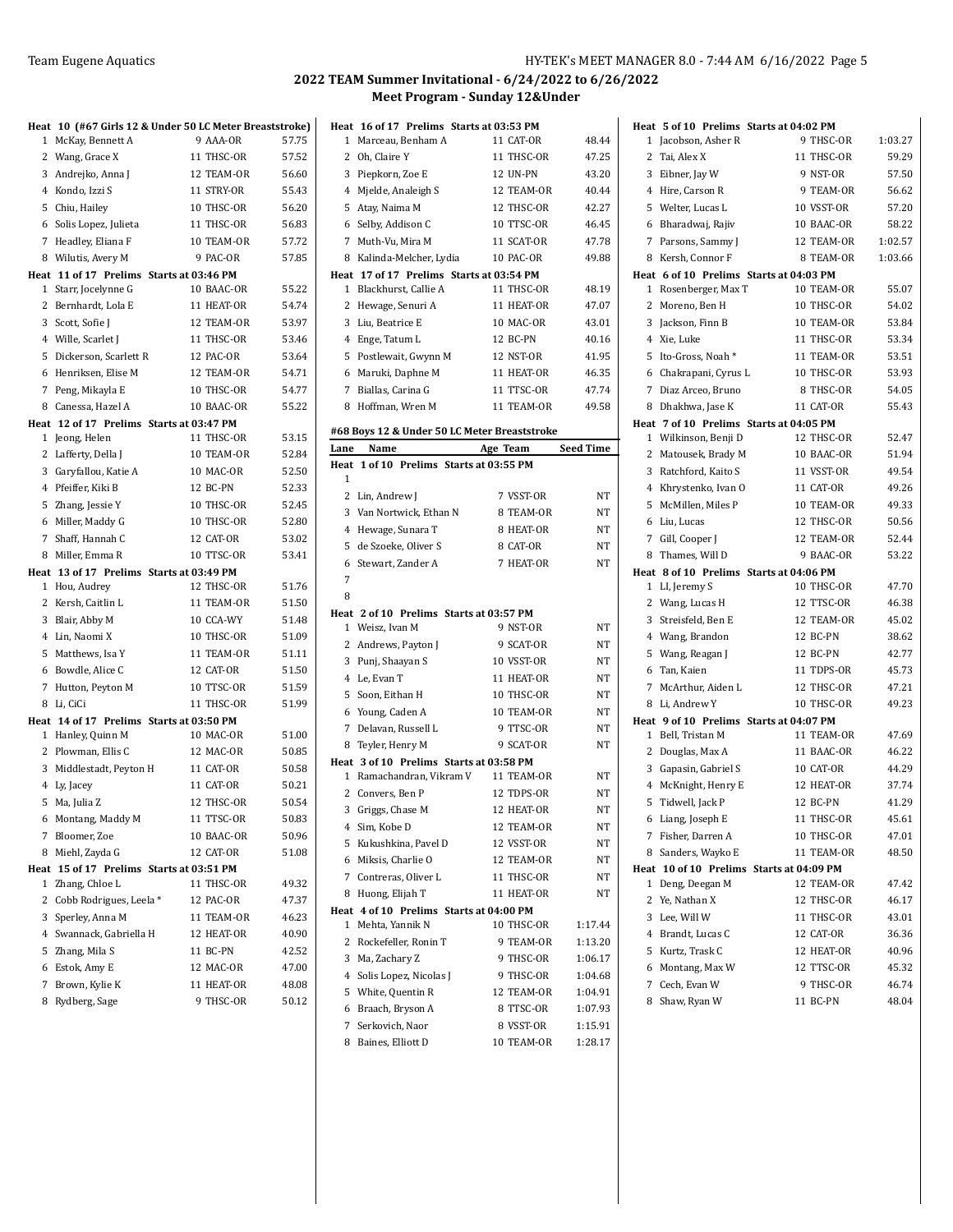|   |                                                          | Heat 10 (#67 Girls 12 & Under 50 LC Meter Breaststroke) |                |
|---|----------------------------------------------------------|---------------------------------------------------------|----------------|
| 1 | McKay, Bennett A                                         | 9 AAA-OR                                                | 57.75          |
|   | 2 Wang, Grace X                                          | 11 THSC-OR                                              | 57.52          |
|   | 3 Andrejko, Anna J                                       | 12 TEAM-OR                                              | 56.60          |
|   | 4 Kondo, Izzi S                                          | 11 STRY-OR                                              | 55.43          |
|   | 5 Chiu, Hailey                                           | 10 THSC-OR                                              | 56.20          |
|   | 6 Solis Lopez, Julieta                                   | 11 THSC-OR                                              | 56.83          |
|   | 7 Headley, Eliana F                                      | 10 TEAM-OR                                              | 57.72          |
| 8 | Wilutis, Avery M                                         | 9 PAC-OR                                                | 57.85          |
|   | Heat 11 of 17 Prelims Starts at 03:46 PM                 |                                                         |                |
|   | 1 Starr, Jocelynne G                                     | 10 BAAC-OR                                              | 55.22          |
|   | 2 Bernhardt, Lola E                                      | 11 HEAT-OR                                              | 54.74          |
|   | 3 Scott, Sofie J                                         | 12 TEAM-OR                                              | 53.97          |
|   | 4 Wille, Scarlet J                                       | 11 THSC-OR                                              | 53.46          |
| 5 | Dickerson, Scarlett R                                    | 12 PAC-OR                                               | 53.64          |
|   | 6 Henriksen, Elise M                                     | 12 TEAM-OR                                              | 54.71          |
|   | 7 Peng, Mikayla E                                        | 10 THSC-OR                                              | 54.77          |
| 8 | Canessa, Hazel A                                         | 10 BAAC-OR                                              | 55.22          |
| 1 | Heat 12 of 17 Prelims Starts at 03:47 PM<br>Jeong, Helen | 11 THSC-OR                                              | 53.15          |
|   | 2 Lafferty, Della J                                      | 10 TEAM-OR                                              | 52.84          |
|   | 3 Garyfallou, Katie A                                    | 10 MAC-OR                                               | 52.50          |
|   | 4 Pfeiffer, Kiki B                                       | 12 BC-PN                                                | 52.33          |
|   | 5 Zhang, Jessie Y                                        | 10 THSC-OR                                              | 52.45          |
|   | 6 Miller, Maddy G                                        | 10 THSC-OR                                              | 52.80          |
|   | 7 Shaff, Hannah C                                        | 12 CAT-OR                                               | 53.02          |
| 8 | Miller, Emma R                                           | 10 TTSC-OR                                              | 53.41          |
|   | Heat 13 of 17 Prelims Starts at 03:49 PM                 |                                                         |                |
|   | 1 Hou, Audrey                                            | 12 THSC-OR                                              | 51.76          |
|   | 2 Kersh, Caitlin L                                       | 11 TEAM-OR                                              | 51.50          |
|   | 3 Blair, Abby M                                          | 10 CCA-WY                                               | 51.48          |
|   | 4 Lin, Naomi X                                           | 10 THSC-OR                                              | 51.09          |
|   | 5 Matthews, Isa Y                                        | 11 TEAM-OR                                              | 51.11          |
| 6 | Bowdle, Alice C                                          | 12 CAT-OR                                               | 51.50          |
| 7 | Hutton, Peyton M                                         | 10 TTSC-OR                                              | 51.59          |
| 8 | Li, CiCi                                                 | 11 THSC-OR                                              | 51.99          |
|   | Heat 14 of 17 Prelims Starts at 03:50 PM                 |                                                         |                |
|   | 1 Hanley, Quinn M                                        | 10 MAC-OR                                               | 51.00          |
|   | 2 Plowman, Ellis C                                       | 12 MAC-OR                                               | 50.85          |
|   | 3 Middlestadt, Peyton H                                  | 11 CAT-OR<br>11 CAT-OR                                  | 50.58<br>50.21 |
|   | 4 Ly, Jacey<br>5 Ma, Julia Z                             | 12 THSC-OR                                              | 50.54          |
|   |                                                          | 11 TTSC-OR                                              |                |
| 7 | 6 Montang, Maddy M<br>Bloomer, Zoe                       | 10 BAAC-OR                                              | 50.83<br>50.96 |
| 8 | Miehl, Zayda G                                           | 12 CAT-OR                                               | 51.08          |
|   | Heat 15 of 17 Prelims Starts at 03:51 PM                 |                                                         |                |
| 1 | Zhang, Chloe L                                           | 11 THSC-OR                                              | 49.32          |
| 2 | Cobb Rodrigues, Leela *                                  | 12 PAC-OR                                               | 47.37          |
|   | 3 Sperley, Anna M                                        | 11 TEAM-OR                                              | 46.23          |
|   | 4 Swannack, Gabriella H                                  | 12 HEAT-OR                                              | 40.90          |
|   | 5 Zhang, Mila S                                          | 11 BC-PN                                                | 42.52          |
|   | 6 Estok, Amy E                                           | 12 MAC-OR                                               | 47.00          |
|   | 7 Brown, Kylie K                                         | 11 HEAT-OR                                              | 48.08          |
|   | 8 Rydberg, Sage                                          | 9 THSC-OR                                               | 50.12          |

| Heat 16 of 17 Prelims Starts at 03:53 PM     |            |                  |
|----------------------------------------------|------------|------------------|
| $\mathbf{1}$<br>Marceau, Benham A            | 11 CAT-OR  | 48.44            |
| 2 Oh, Claire Y                               | 11 THSC-OR | 47.25            |
| 3 Piepkorn, Zoe E                            | 12 UN-PN   | 43.20            |
| 4 Mjelde, Analeigh S                         | 12 TEAM-OR | 40.44            |
| 5 Atay, Naima M                              | 12 THSC-OR | 42.27            |
| 6 Selby, Addison C                           | 10 TTSC-OR | 46.45            |
| 7 Muth-Vu, Mira M                            | 11 SCAT-OR | 47.78            |
| 8 Kalinda-Melcher, Lydia                     | 10 PAC-OR  | 49.88            |
| Heat 17 of 17 Prelims Starts at 03:54 PM     |            |                  |
| 1 Blackhurst, Callie A                       | 11 THSC-OR | 48.19            |
| 2 Hewage, Senuri A                           | 11 HEAT-OR | 47.07            |
| 3 Liu, Beatrice E                            | 10 MAC-OR  | 43.01            |
| 4 Enge, Tatum L                              | 12 BC-PN   | 40.16            |
| 5 Postlewait, Gwynn M                        | 12 NST-OR  | 41.95            |
| 6 Maruki, Daphne M                           | 11 HEAT-OR | 46.35            |
| 7 Biallas, Carina G                          | 11 TTSC-OR | 47.74            |
| 8 Hoffman, Wren M                            | 11 TEAM-OR | 49.58            |
| #68 Boys 12 & Under 50 LC Meter Breaststroke |            |                  |
| Name<br>Lane                                 | Age Team   | <b>Seed Time</b> |
| Heat 1 of 10 Prelims Starts at 03:55 PM      |            |                  |
| 1                                            |            |                  |
| 2 Lin, Andrew J                              | 7 VSST-OR  | <b>NT</b>        |
| 3 Van Nortwick, Ethan N                      | 8 TEAM-OR  | NT               |
| 4 Hewage, Sunara T                           | 8 HEAT-OR  | <b>NT</b>        |
| 5 de Szoeke, Oliver S                        | 8 CAT-OR   | NT               |
| 6 Stewart, Zander A                          | 7 HEAT-OR  | NT               |
| 7                                            |            |                  |
| 8                                            |            |                  |
| Heat 2 of 10 Prelims Starts at 03:57 PM      |            |                  |
| 1 Weisz, Ivan M                              | 9 NST-OR   | NT               |
| 2 Andrews, Payton J                          | 9 SCAT-OR  | NT               |
| 3 Punj, Shaayan S                            | 10 VSST-OR | NT               |
| 4 Le, Evan T                                 | 11 HEAT-OR | NT               |
| 5 Soon, Eithan H                             | 10 THSC-OR | NT               |
| 6 Young, Caden A                             | 10 TEAM-OR | NT               |
| 7 Delavan, Russell L                         | 9 TTSC-OR  | NT               |
| 8 Teyler, Henry M                            | 9 SCAT-OR  | NT               |
| Heat 3 of 10 Prelims Starts at 03:58 PM      |            |                  |
| 1 Ramachandran, Vikram V                     | 11 TEAM-OR | <b>NT</b>        |
| 2 Convers, Ben P                             | 12 TDPS-OR | NT               |
| 3 Griggs, Chase M                            | 12 HEAT-OR | NT               |
| 4 Sim, Kobe D                                | 12 TEAM-OR | NΤ               |
| 5<br>Kukushkina, Pavel D                     | 12 VSST-OR | NΤ               |
| 6 Miksis, Charlie O                          | 12 TEAM-OR | NΤ               |
| 7 Contreras, Oliver L                        | 11 THSC-OR | NT               |
| Huong, Elijah T<br>8                         | 11 HEAT-OR | NT               |
| Heat 4 of 10 Prelims Starts at 04:00 PM      |            |                  |
| 1 - Mehta, Yannik N                          |            | 1:17.44          |
| 2 Rockefeller, Ronin T                       | 10 THSC-OR |                  |
|                                              | 9 TEAM-OR  | 1:13.20          |
| 3 Ma, Zachary Z                              | 9 THSC-OR  | 1:06.17          |
| 4 Solis Lopez, Nicolas J                     | 9 THSC-OR  | 1:04.68          |
| 5 White, Quentin R                           | 12 TEAM-OR | 1:04.91          |
| 6 Braach, Bryson A                           | 8 TTSC-OR  | 1:07.93          |
| 7 Serkovich, Naor                            | 8 VSST-OR  | 1:15.91          |
| Baines, Elliott D<br>8                       | 10 TEAM-OR | 1:28.17          |

|   | Heat 5 of 10 Prelims Starts at 04:02 PM  |            |         |
|---|------------------------------------------|------------|---------|
| 1 | Jacobson, Asher R                        | 9 THSC-OR  | 1:03.27 |
| 2 | Tai, Alex X                              | 11 THSC-OR | 59.29   |
| 3 | Eibner, Jay W                            | 9 NST-OR   | 57.50   |
|   | 4 Hire, Carson R                         | 9 TEAM-OR  | 56.62   |
|   | 5 Welter, Lucas L                        | 10 VSST-OR | 57.20   |
| 6 | Bharadwaj, Rajiv                         | 10 BAAC-OR | 58.22   |
|   | 7 Parsons, Sammy J                       | 12 TEAM-OR | 1:02.57 |
| 8 | Kersh, Connor F                          | 8 TEAM-OR  | 1:03.66 |
|   | Heat 6 of 10 Prelims Starts at 04:03 PM  |            |         |
| 1 | Rosenberger, Max T                       | 10 TEAM-OR | 55.07   |
| 2 | Moreno, Ben H                            | 10 THSC-OR | 54.02   |
| 3 | Jackson, Finn B                          | 10 TEAM-OR | 53.84   |
| 4 | Xie, Luke                                | 11 THSC-OR | 53.34   |
| 5 | Ito-Gross, Noah*                         | 11 TEAM-OR | 53.51   |
|   | 6 Chakrapani, Cyrus L                    | 10 THSC-OR | 53.93   |
|   | 7 Diaz Arceo, Bruno                      | 8 THSC-OR  | 54.05   |
| 8 | Dhakhwa, Jase K                          | 11 CAT-OR  | 55.43   |
|   | Heat 7 of 10 Prelims Starts at 04:05 PM  |            |         |
|   | 1 Wilkinson, Benji D                     | 12 THSC-OR | 52.47   |
| 2 | Matousek, Brady M                        | 10 BAAC-OR | 51.94   |
| 3 | Ratchford, Kaito S                       | 11 VSST-OR | 49.54   |
| 4 | Khrystenko, Ivan O                       | 11 CAT-OR  | 49.26   |
| 5 | McMillen, Miles P                        | 10 TEAM-OR | 49.33   |
| 6 | Liu, Lucas                               | 12 THSC-OR | 50.56   |
| 7 | Gill, Cooper J                           | 12 TEAM-OR | 52.44   |
| 8 | Thames, Will D                           | 9 BAAC-OR  | 53.22   |
|   | Heat 8 of 10 Prelims Starts at 04:06 PM  |            |         |
|   |                                          |            |         |
| 1 | LI, Jeremy S                             | 10 THSC-OR | 47.70   |
| 2 | Wang, Lucas H                            | 12 TTSC-OR | 46.38   |
| 3 | Streisfeld, Ben E                        | 12 TEAM-OR | 45.02   |
|   | 4 Wang, Brandon                          | 12 BC-PN   | 38.62   |
| 5 | Wang, Reagan J                           | 12 BC-PN   | 42.77   |
| 6 | Tan, Kaien                               | 11 TDPS-OR | 45.73   |
| 7 | McArthur, Aiden L                        | 12 THSC-OR | 47.21   |
| 8 | Li, Andrew Y                             | 10 THSC-OR | 49.23   |
|   | Heat 9 of 10 Prelims Starts at 04:07 PM  |            |         |
| 1 | Bell, Tristan M                          | 11 TEAM-OR | 47.69   |
| 2 | Douglas, Max A                           | 11 BAAC-OR | 46.22   |
| 3 | Gapasin, Gabriel S                       | 10 CAT-OR  | 44.29   |
| 4 | McKnight, Henry E                        | 12 HEAT-OR | 37.74   |
| 5 | Tidwell, Jack P                          | 12 BC-PN   | 41.29   |
|   | 6 Liang, Joseph E                        | 11 THSC-OR | 45.61   |
|   | 7 Fisher, Darren A                       | 10 THSC-OR | 47.01   |
| 8 | Sanders, Wayko E                         | 11 TEAM-OR | 48.50   |
|   | Heat 10 of 10 Prelims Starts at 04:09 PM |            |         |
| 1 | Deng, Deegan M                           | 12 TEAM-OR | 47.42   |
| 2 | Ye, Nathan X                             | 12 THSC-OR | 46.17   |
| 3 | Lee, Will W                              | 11 THSC-OR | 43.01   |
| 4 | Brandt, Lucas C                          | 12 CAT-OR  | 36.36   |
| 5 | Kurtz, Trask C                           | 12 HEAT-OR | 40.96   |
| 6 | Montang, Max W                           | 12 TTSC-OR | 45.32   |
| 7 | Cech, Evan W                             | 9 THSC-OR  | 46.74   |